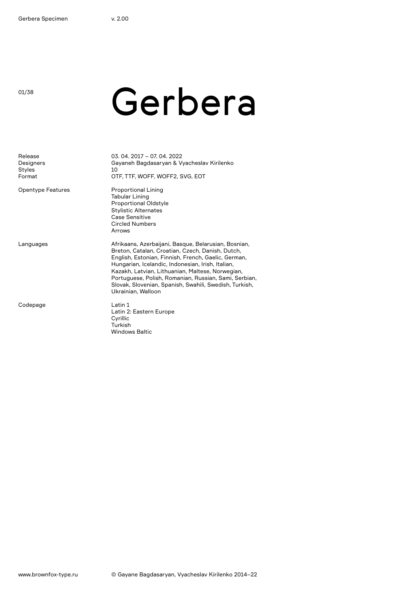01/38

## Gerbera

| Release<br>Designers<br>Styles<br>Format | $03.04.2017 - 07.04.2022$<br>Gayaneh Bagdasaryan & Vyacheslav Kirilenko<br>10<br>OTF, TTF, WOFF, WOFF2, SVG, EOT                                                                                                                                                                                                                                                                                                  |
|------------------------------------------|-------------------------------------------------------------------------------------------------------------------------------------------------------------------------------------------------------------------------------------------------------------------------------------------------------------------------------------------------------------------------------------------------------------------|
| <b>Opentype Features</b>                 | <b>Proportional Lining</b><br><b>Tabular Lining</b><br><b>Proportional Oldstyle</b><br><b>Stylistic Alternates</b><br>Case Sensitive<br><b>Circled Numbers</b><br>Arrows                                                                                                                                                                                                                                          |
| Languages                                | Afrikaans, Azerbaijani, Basque, Belarusian, Bosnian,<br>Breton, Catalan, Croatian, Czech, Danish, Dutch,<br>English, Estonian, Finnish, French, Gaelic, German,<br>Hungarian, Icelandic, Indonesian, Irish, Italian,<br>Kazakh, Latvian, Lithuanian, Maltese, Norwegian,<br>Portuguese, Polish, Romanian, Russian, Sami, Serbian,<br>Slovak, Slovenian, Spanish, Swahili, Swedish, Turkish,<br>Ukrainian, Walloon |
| Codepage                                 | Latin 1<br>Latin 2: Eastern Europe<br>Cyrillic<br>Turkish<br><b>Windows Baltic</b>                                                                                                                                                                                                                                                                                                                                |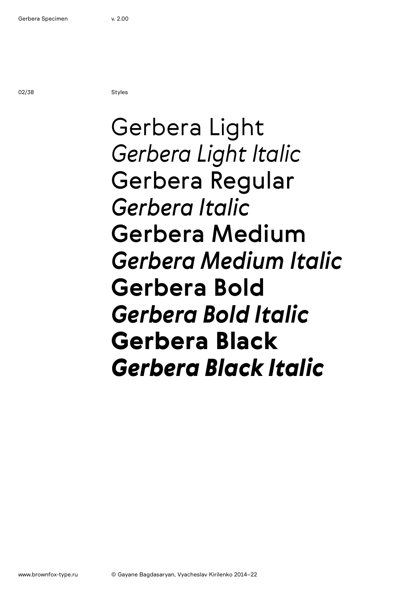02/38 Styles

Gerbera Light *Gerbera Light Italic* Gerbera Regular *Gerbera Italic* Gerbera Medium *Gerbera Medium Italic* **Gerbera Bold** *Gerbera Bold Italic* Gerbera Black *Gerbera Black Italic*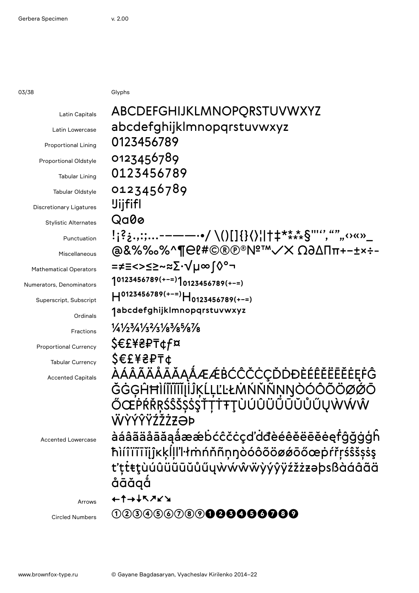03/38 Glyphs

| Latin Capitals                 | ABCDEFGHIJKLMNOPQRSTUVWXYZ                                                                            |
|--------------------------------|-------------------------------------------------------------------------------------------------------|
| Latin Lowercase                | abcdefghijklmnopgrstuvwxyz                                                                            |
| <b>Proportional Lining</b>     | 0123456789                                                                                            |
| Proportional Oldstyle          | 0123456789                                                                                            |
| <b>Tabular Lining</b>          | 0123456789                                                                                            |
| <b>Tabular Oldstyle</b>        | 0123456789                                                                                            |
| <b>Discretionary Ligatures</b> | <b>Jijfifl</b>                                                                                        |
| <b>Stylistic Alternates</b>    | Qa0ø                                                                                                  |
| Punctuation                    | !;?¿.,:;--——-•/ \()[]{}{); †‡****§"''',"""o«»_                                                        |
| Miscellaneous                  | @&%%%^¶@?#©®®®Nº™√X Ω∂∆Пπ+−±×÷-                                                                       |
| <b>Mathematical Operators</b>  | ⋍≠≡<>≤≥∼≈∑∙√µ∞∫◊°¬                                                                                    |
| Numerators, Denominators       | $10123456789(+-1)10123456789(+-1)$                                                                    |
| Superscript, Subscript         | $H^{0123456789(+-)}H_{0123456789(+-)}$                                                                |
| Ordinals                       | 1abcdefghijk Imnopqrstuvwxyz                                                                          |
| Fractions                      | $\frac{1}{4}\frac{1}{2}\frac{3}{4}\frac{1}{3}\frac{2}{3}\frac{1}{8}\frac{3}{8}\frac{5}{8}\frac{7}{8}$ |
| <b>Proportional Currency</b>   | \$€£¥₴₽₸¢f¤                                                                                           |
| <b>Tabular Currency</b>        | <b>S€£¥₴₽₸</b> ¢                                                                                      |
| <b>Accented Capitals</b>       | <u>ÀÁÂÃÄÅĀĂĄÅÆÆBĆĈČĊÇĎDĐÈÉÊËËĒĔĖĘFĜ</u>                                                               |
|                                | ĞĠĢĤĦÌĺĨĨĨĨĬĮİĴĶĹĻĽĿŁŃŃŇŇŅŊÒÓÔÕÖØØŌ                                                                   |
|                                | ŐŒPŔŘŖŚŜŠŞŠŞŤŢŤŦŢÙÚÛÜŨŨŬŮŰŲŴŴŴ                                                                        |
|                                | WYYYYZZZ <del>Z</del> ƏÞ                                                                              |
| <b>Accented Lowercase</b>      | àáâãäåāăąåææbcccccd'ddeeeeeeeefggggh                                                                  |
|                                | ħìíîïĩĩĭįĵĸķĺḷl'ŀłmńňñņŋòóôõöøøōőœpŕřṛśŝšṣṡş                                                          |
|                                | t'ttetuúûüüūŭűűywwwvyýyjzzzabsBaáâãä                                                                  |
|                                | åāăgå                                                                                                 |
| Arrows                         | ←↑→↓↖↗↙↘                                                                                              |
| <b>Circled Numbers</b>         | 023456089 <b>088066080</b>                                                                            |
|                                |                                                                                                       |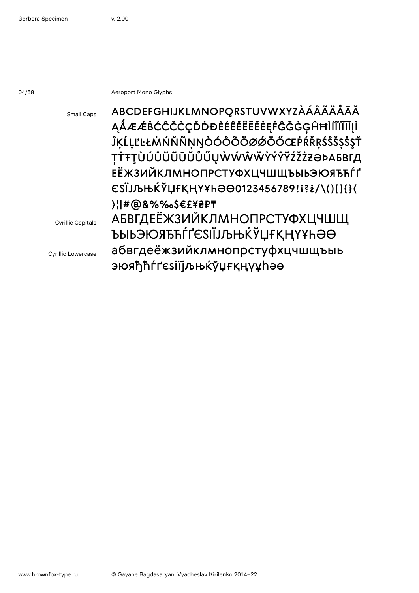04/38 **Aeroport Mono Glyphs** 

| <b>Small Caps</b>         | ABCDEFGHIJKLMNOPQRSTUVWXYZÀÁÂÃÄÅĀĂ                           |
|---------------------------|--------------------------------------------------------------|
|                           | ĄÁÆÆBĆĈČĊÇĎDĐÈÉÊĔĔĒĔĖĘFĜĞĠĢĤĦÌĨĨĨĨĨĮİ                        |
|                           | ĴĶĹĻĽĿŁMŃŇÑŅŊÒÓÔÕÖØØŌŐŒPŔŘŖŚŜŠŞŠŞŤ                           |
|                           | ŢŤŦŢÙÚÛŨŨŨŨŬŮŰŲŴŴŴŴŶŶŶŸŹŽŻZƏÞAБBſД                           |
|                           | <b>ЕЁЖЗИЙКЛМНОПРСТУФХЦЧШЩЪЫЬЭЮЯБЋЃҐ</b>                      |
|                           | $\epsilon$ SİJJbHKYLIFKHYYh $\Theta$ 0123456789!i?¿/\()[]{}{ |
|                           | }¦ #@&%%%\$€£¥ZPT                                            |
| <b>Cyrillic Capitals</b>  | <b>АБВГДЕЁЖЗИЙКЛМНОПРСТУФХЦЧШЩ</b>                           |
|                           | ЪЫЬЭЮЯЂЋЃҐЄЅІЇЈЉЊЌЎЏҒҚҢҮҰҺӘӨ                                 |
| <b>Cyrillic Lowercase</b> | абвгдеёжзийклмнопрстуфхцчшщъыь                               |
|                           | <b>эюяђћѓґєѕіїјљњќўџғқңүұһәө</b>                             |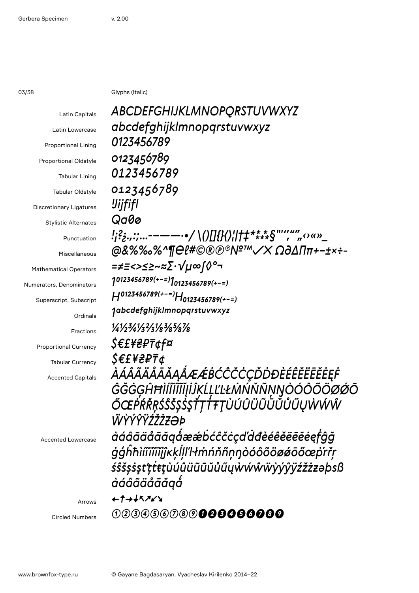03/38 Glyphs (Italic)

Latin Capitals Latin Lowercase Proportional Lining Proportional Oldstyle Tabular Lining Tabular Oldstyle Discretionary Ligatures Stylistic Alternates Punctuation Miscellaneous Mathematical Operators Numerators, Denominators Superscript, Subscript Ordinals Fractions Proportional Currency Tabular Currency Accented Capitals Accented Lowercase *ABCDEFGHIJKLMNOPQRSTUVWXYZ abcdefghijklmnopqrstuvwxyz 0123456789 0123456789 0123456789 0123456789 IJijfifl Qa0� !¡?¿.,:;...-–——·•/ \()[]{}〈〉¦|†‡\*⁑⁂§"''''"""‹›«»\_* 

*@&%‰%^¶℮ℓ#©®℗®№™✓✕ Ω∂∆∏π+−±×÷- =≠≡<>≤≥~≈∑∙√μ∞∫◊°¬ 10123456789(+−=)10123456789(+−=) H0123456789(+−=)H0123456789(+−=) 1abcdefghijklmⁿopqrstuvwxyz 1⁄41⁄23⁄4⅓⅔⅛⅜⅝⅞ \$€£¥₴₽₸¢ƒ¤ \$€£¥₴₽₸¢ ÀÁÂÃÄÅĀĂĄǺÆǼḂĆĈČĊÇĎḊĐÈÉÊĚËĒĔĖĘḞ ĜĞĠĢĤĦÌÍÎÏĨĪĬĮİĴĶĹĻĽĿŁṀŃŇÑŅŊÒÓÔÕÖØǾŌ ŐŒ*PŔŘŖŚŜŠSŠŞŤŢŤŦŢÙÚÛÜŨŨŬŮŰŲŴŴŴ *Ŵ*ŶŶŶ*ŶŹŻŻ*Ą *àáâãäåāăąǻæǽḃćĉčċçďḋđèéêěëēĕėęḟĝğ ġģĥħìíîïĩīĭįĵĸķĺļľŀłṁńňñņŋòóôõöøǿōőœṗŕřŗ śŝšșṡşťțṫŧţùúûüũūŭůűųẁẃŵẅỳýŷÿźžżƶəþsß àáâãäåāăąǻ ←↑→↓↖↗↘↙*

Arrows

Circled Numbers

*①②③④⑤⑥⑦⑧⑨❶❷❸❹❺❻❼❽❾*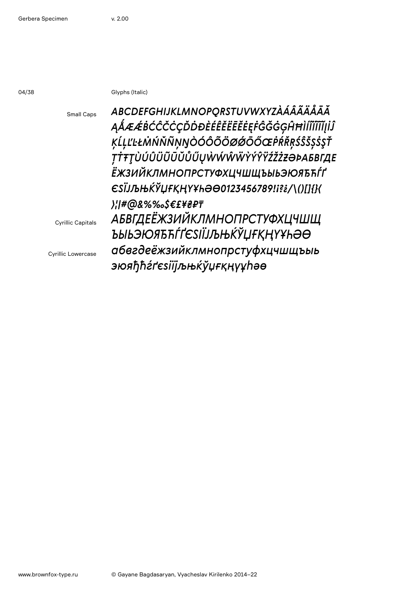04/38 Glyphs (Italic)

Small Caps

*ABCDEFGHIJKLMNOPQRSTUVWXYZÀÁÂÃÄÅĀĂ ĄǺÆǼḂĆĈČĊÇĎḊĐÈÉÊĚËĒĔĖĘḞĜĞĠĢĤĦÌÍÎÏĨĪĬĮİĴ ĶĹĻĽĿŁŃŃŇŇŅŊÒÓÔÕÖØØŌŐŒPŔŔŖŚŜŠŞŚŞŤ ȚṪŦŢÙÚÛÜŨŪŬŮŰŲẀẂŴẄỲÝŶŸŹŽŻƵƏÞАБВГДЕ ЁЖЗИЙКЛМНОПРСТУФХЦЧШЩЪЫЬЭЮЯЂЋЃҐ ЄЅЇЈЉЊЌЎЏҒҚҢҮҰҺӘӨ0123456789!¡?¿/\()[]{}〈 〉¦|#@&%‰\$€£¥₴₽₸ АБВГДЕЁЖЗИЙКЛМНОПРСТУФХЦЧШЩ ЪЫЬЭЮЯЂЋЃҐЄЅІЇЈЉЊЌЎЏҒҚҢҮҰҺӘӨ абвгдеёжзийклмнопрстуфхцчшщъыь эюяђћѓґєѕіїјљњќўџғқңүұһәө*

Cyrillic Capitals

Cyrillic Lowercase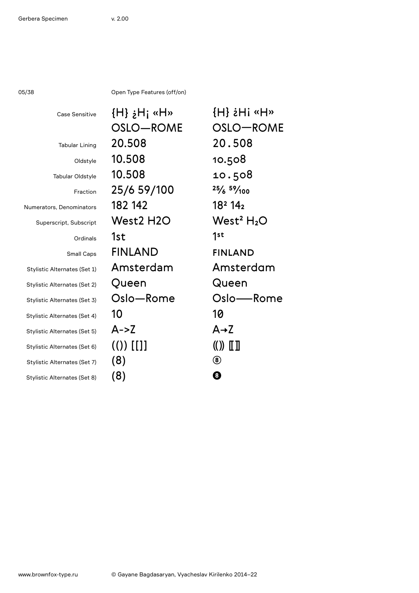05/38 Open Type Features (off/on)

| Case Sensitive               | {H} ¿H; «H»    | $\{H\}$ $\dot{\tilde{\epsilon}}$ $H\tilde{\tilde{\epsilon}}$ |
|------------------------------|----------------|--------------------------------------------------------------|
|                              | OSLO—ROME      | OSLO-ROME                                                    |
| <b>Tabular Lining</b>        | 20.508         | 20.508                                                       |
| Oldstyle                     | 10.508         | 10.508                                                       |
| Tabular Oldstyle             | 10.508         | 10.508                                                       |
| Fraction                     | 25/6 59/100    | $25/6$ $59/100$                                              |
| Numerators, Denominators     | 182 142        | 18 <sup>2</sup> 14 <sub>2</sub>                              |
| Superscript, Subscript       | West2 H2O      | West <sup>2</sup> H <sub>2</sub> O                           |
| Ordinals                     | 1st            | 1st                                                          |
| <b>Small Caps</b>            | <b>FINLAND</b> | <b>FINLAND</b>                                               |
| Stylistic Alternates (Set 1) | Amsterdam      | Amsterdam                                                    |
| Stylistic Alternates (Set 2) | Queen          | Queen                                                        |
| Stylistic Alternates (Set 3) | Oslo—Rome      | Oslo—Rome                                                    |
| Stylistic Alternates (Set 4) | 10             | 10                                                           |
| Stylistic Alternates (Set 5) | $A - Z$        | $A \rightarrow Z$                                            |
| Stylistic Alternates (Set 6) | $(() )$ [[]]   | $\left(\mathbf{I}\right)$ $\left[\mathbf{I}\right]$          |
| Stylistic Alternates (Set 7) | (8)            | $\circledast$                                                |
| Stylistic Alternates (Set 8) | (8)            | $\mathbf{g}$                                                 |
|                              |                |                                                              |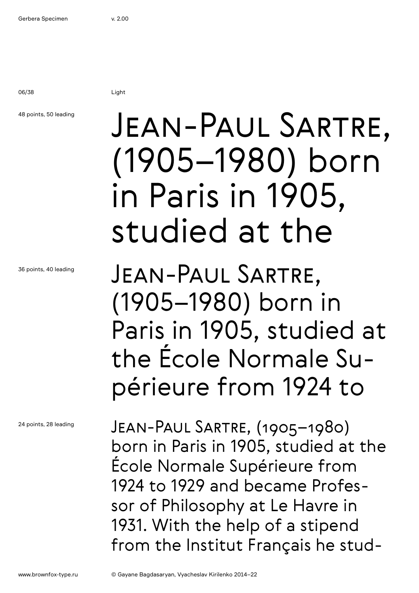06/38 Light

48 points, 50 leading

36 points, 40 leading

### Jean-Paul Sartre, (1905–1980) born in Paris in 1905, studied at the

Jean-Paul Sartre, (1905–1980) born in Paris in 1905, studied at the École Normale Supérieure from 1924 to

24 points, 28 leading

Jean-Paul Sartre, (1905–1980) born in Paris in 1905, studied at the École Normale Supérieure from 1924 to 1929 and became Professor of Philosophy at Le Havre in 1931. With the help of a stipend from the Institut Français he stud-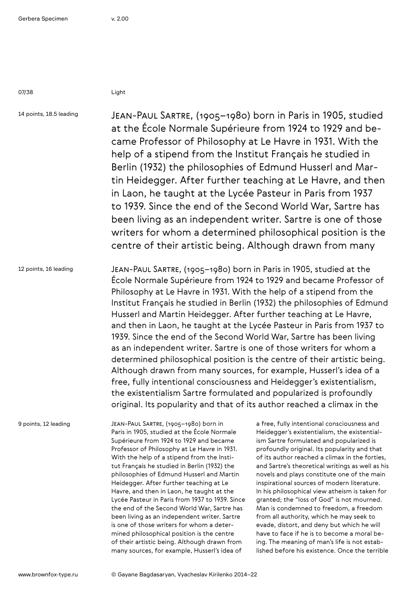07/38 Light

14 points, 18.5 leading

Jean-Paul Sartre, (1905–1980) born in Paris in 1905, studied at the École Normale Supérieure from 1924 to 1929 and became Professor of Philosophy at Le Havre in 1931. With the help of a stipend from the Institut Français he studied in Berlin (1932) the philosophies of Edmund Husserl and Martin Heidegger. After further teaching at Le Havre, and then in Laon, he taught at the Lycée Pasteur in Paris from 1937 to 1939. Since the end of the Second World War, Sartre has been living as an independent writer. Sartre is one of those writers for whom a determined philosophical position is the centre of their artistic being. Although drawn from many

12 points, 16 leading Jean-Paul Sartre, (1905–1980) born in Paris in 1905, studied at the École Normale Supérieure from 1924 to 1929 and became Professor of Philosophy at Le Havre in 1931. With the help of a stipend from the Institut Français he studied in Berlin (1932) the philosophies of Edmund Husserl and Martin Heidegger. After further teaching at Le Havre, and then in Laon, he taught at the Lycée Pasteur in Paris from 1937 to 1939. Since the end of the Second World War, Sartre has been living as an independent writer. Sartre is one of those writers for whom a determined philosophical position is the centre of their artistic being. Although drawn from many sources, for example, Husserl's idea of a free, fully intentional consciousness and Heidegger's existentialism, the existentialism Sartre formulated and popularized is profoundly original. Its popularity and that of its author reached a climax in the

9 points, 12 leading

Jean-Paul Sartre, (1905–1980) born in Paris in 1905, studied at the École Normale Supérieure from 1924 to 1929 and became Professor of Philosophy at Le Havre in 1931. With the help of a stipend from the Institut Français he studied in Berlin (1932) the philosophies of Edmund Husserl and Martin Heidegger. After further teaching at Le Havre, and then in Laon, he taught at the Lycée Pasteur in Paris from 1937 to 1939. Since the end of the Second World War, Sartre has been living as an independent writer. Sartre is one of those writers for whom a determined philosophical position is the centre of their artistic being. Although drawn from many sources, for example, Husserl's idea of

a free, fully intentional consciousness and Heidegger's existentialism, the existentialism Sartre formulated and popularized is profoundly original. Its popularity and that of its author reached a climax in the forties, and Sartre's theoretical writings as well as his novels and plays constitute one of the main inspirational sources of modern literature. In his philosophical view atheism is taken for granted; the "loss of God" is not mourned. Man is condemned to freedom, a freedom from all authority, which he may seek to evade, distort, and deny but which he will have to face if he is to become a moral being. The meaning of man's life is not established before his existence. Once the terrible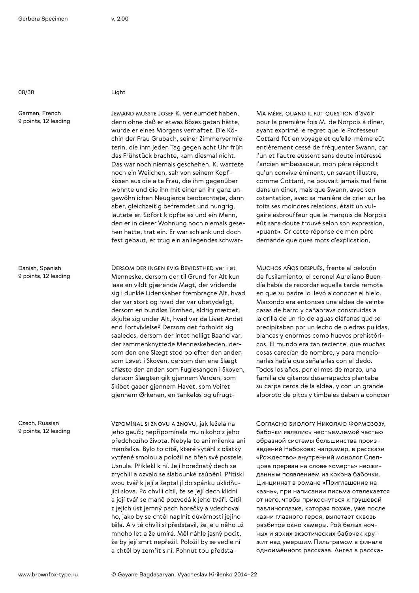08/38 Light

German, French 9 points, 12 leading

Danish, Spanish 9 points, 12 leading

Czech, Russian 9 points, 12 leading

Jemand musste Josef K. verleumdet haben, denn ohne daß er etwas Böses getan hätte, wurde er eines Morgens verhaftet. Die Köchin der Frau Grubach, seiner Zimmervermieterin, die ihm jeden Tag gegen acht Uhr früh das Frühstück brachte, kam diesmal nicht. Das war noch niemals geschehen. K. wartete noch ein Weilchen, sah von seinem Kopfkissen aus die alte Frau, die ihm gegenüber wohnte und die ihn mit einer an ihr ganz ungewöhnlichen Neugierde beobachtete, dann aber, gleichzeitig befremdet und hungrig, läutete er. Sofort klopfte es und ein Mann, den er in dieser Wohnung noch niemals gesehen hatte, trat ein. Er war schlank und doch fest gebaut, er trug ein anliegendes schwar-

Dersom der ingen evig Bevidsthed var i et Menneske, dersom der til Grund for Alt kun laae en vildt gjærende Magt, der vridende sig i dunkle Lidenskaber frembragte Alt, hvad der var stort og hvad der var ubetydeligt, dersom en bundløs Tomhed, aldrig mættet, skjulte sig under Alt, hvad var da Livet Andet end Fortvivlelse? Dersom det forholdt sig saaledes, dersom der intet helligt Baand var, der sammenknyttede Menneskeheden, dersom den ene Slægt stod op efter den anden som Løvet i Skoven, dersom den ene Slægt afløste den anden som Fuglesangen i Skoven, dersom Slægten gik gjennem Verden, som Skibet gaaer gjennem Havet, som Veiret gjennem Ørkenen, en tankeløs og ufrugtMa mère, quand il fut question d'avoir pour la première fois M. de Norpois à dîner, ayant exprimé le regret que le Professeur Cottard fût en voyage et qu'elle-même eût entièrement cessé de fréquenter Swann, car l'un et l'autre eussent sans doute intéressé l'ancien ambassadeur, mon père répondit qu'un convive éminent, un savant illustre, comme Cottard, ne pouvait jamais mal faire dans un dîner, mais que Swann, avec son ostentation, avec sa manière de crier sur les toits ses moindres relations, était un vulgaire esbrouffeur que le marquis de Norpois eût sans doute trouvé selon son expression, «puant». Or cette réponse de mon père demande quelques mots d'explication,

Muchos años después, frente al pelotón de fusilamiento, el coronel Aureliano Buendía había de recordar aquella tarde remota en que su padre lo llevó a conocer el hielo. Macondo era entonces una aldea de veinte casas de barro y cañabrava construidas a la orilla de un río de aguas diáfanas que se precipitaban por un lecho de piedras pulidas, blancas y enormes como huevos prehistóricos. El mundo era tan reciente, que muchas cosas carecían de nombre, y para mencionarlas había que señalarlas con el dedo. Todos los años, por el mes de marzo, una familia de gitanos desarrapados plantaba su carpa cerca de la aldea, y con un grande alboroto de pitos y timbales daban a conocer

Vzpomínal si znovu a znovu, jak ležela na jeho gauči; nepřipomínala mu nikoho z jeho předchozího života. Nebyla to ani milenka ani manželka. Bylo to dítě, které vytáhl z ošatky vytřené smolou a položil na břeh své postele. Usnula. Přiklekl k ní. Její horečnatý dech se zrychlil a ozvalo se slabounké zaúpění. Přitiskl svou tvář k její a šeptal jí do spánku uklidňující slova. Po chvíli cítil, že se její dech klidní a její tvář se maně pozvedá k jeho tváři. Cítil z jejích úst jemný pach horečky a vdechoval ho, jako by se chtěl naplnit důvěrností jejího těla. A v té chvíli si představil, že je u něho už mnoho let a že umírá. Měl náhle jasný pocit, že by její smrt nepřežil. Položil by se vedle ní a chtěl by zemřít s ní. Pohnut tou předstaСогласно биологу Николаю Формозову, бабочки являлись неотъемлемой частью образной системы большинства произведений Набокова: например, в рассказе «Рождество» внутренний монолог Слепцова прерван на слове «смерть» неожиданным появлением из кокона бабочки. Цинциннат в романе «Приглашение на казнь», при написании письма отвлекается от него, чтобы прикоснуться к грушевой павлиноглазке, которая позже, уже после казни главного героя, вылетает сквозь разбитое окно камеры. Рой белых ночных и ярких экзотических бабочек кружит над умершим Пильграмом в финале одноимённого рассказа. Ангел в расска-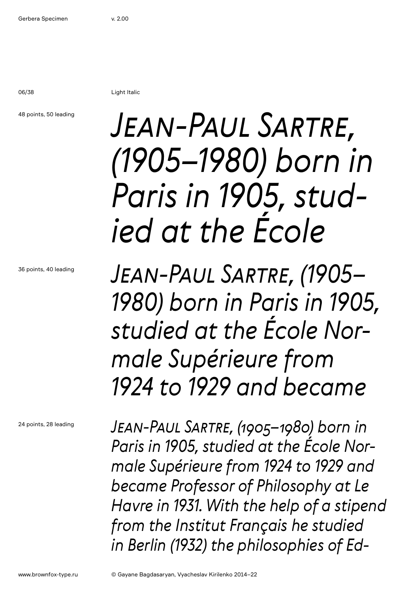06/38 Light Italic

48 points, 50 leading

*Jean-Paul Sartre, (1905–1980) born in Paris in 1905, studied at the École* 

*Jean-Paul Sartre, (1905– 1980) born in Paris in 1905, studied at the École Normale Supérieure from 1924 to 1929 and became* 

24 points, 28 leading

36 points, 40 leading

*Jean-Paul Sartre, (1905–1980) born in Paris in 1905, studied at the École Normale Supérieure from 1924 to 1929 and became Professor of Philosophy at Le Havre in 1931. With the help of a stipend from the Institut Français he studied in Berlin (1932) the philosophies of Ed-*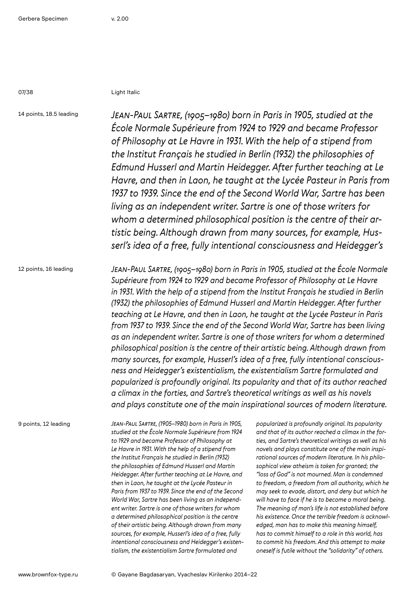07/38 Light Italic

14 points, 18.5 leading

*Jean-Paul Sartre, (1905–1980) born in Paris in 1905, studied at the École Normale Supérieure from 1924 to 1929 and became Professor of Philosophy at Le Havre in 1931. With the help of a stipend from the Institut Français he studied in Berlin (1932) the philosophies of Edmund Husserl and Martin Heidegger. After further teaching at Le Havre, and then in Laon, he taught at the Lycée Pasteur in Paris from 1937 to 1939. Since the end of the Second World War, Sartre has been living as an independent writer. Sartre is one of those writers for whom a determined philosophical position is the centre of their artistic being. Although drawn from many sources, for example, Husserl's idea of a free, fully intentional consciousness and Heidegger's* 

12 points, 16 leading

*Jean-Paul Sartre, (1905–1980) born in Paris in 1905, studied at the École Normale Supérieure from 1924 to 1929 and became Professor of Philosophy at Le Havre in 1931. With the help of a stipend from the Institut Français he studied in Berlin (1932) the philosophies of Edmund Husserl and Martin Heidegger. After further teaching at Le Havre, and then in Laon, he taught at the Lycée Pasteur in Paris from 1937 to 1939. Since the end of the Second World War, Sartre has been living as an independent writer. Sartre is one of those writers for whom a determined philosophical position is the centre of their artistic being. Although drawn from many sources, for example, Husserl's idea of a free, fully intentional consciousness and Heidegger's existentialism, the existentialism Sartre formulated and popularized is profoundly original. Its popularity and that of its author reached a climax in the forties, and Sartre's theoretical writings as well as his novels and plays constitute one of the main inspirational sources of modern literature.* 

9 points, 12 leading

*Jean-Paul Sartre, (1905–1980) born in Paris in 1905, studied at the École Normale Supérieure from 1924 to 1929 and became Professor of Philosophy at Le Havre in 1931. With the help of a stipend from the Institut Français he studied in Berlin (1932) the philosophies of Edmund Husserl and Martin Heidegger. After further teaching at Le Havre, and then in Laon, he taught at the Lycée Pasteur in Paris from 1937 to 1939. Since the end of the Second World War, Sartre has been living as an independent writer. Sartre is one of those writers for whom a determined philosophical position is the centre of their artistic being. Although drawn from many sources, for example, Husserl's idea of a free, fully intentional consciousness and Heidegger's existentialism, the existentialism Sartre formulated and* 

*popularized is profoundly original. Its popularity and that of its author reached a climax in the forties, and Sartre's theoretical writings as well as his novels and plays constitute one of the main inspirational sources of modern literature. In his philosophical view atheism is taken for granted; the "loss of God" is not mourned. Man is condemned to freedom, a freedom from all authority, which he may seek to evade, distort, and deny but which he will have to face if he is to become a moral being. The meaning of man's life is not established before his existence. Once the terrible freedom is acknowledged, man has to make this meaning himself, has to commit himself to a role in this world, has to commit his freedom. And this attempt to make oneself is futile without the "solidarity" of others.*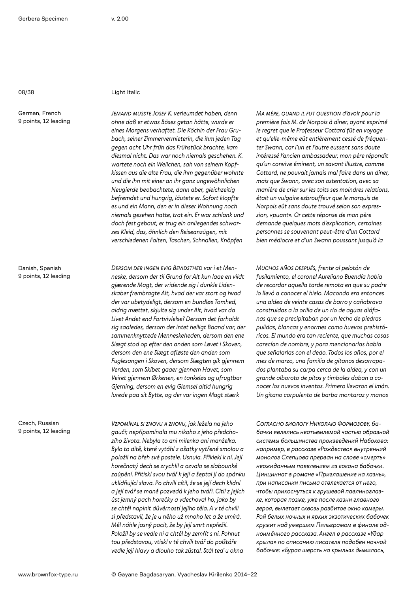German, French 9 points, 12 leading

Danish, Spanish 9 points, 12 leading

Czech, Russian 9 points, 12 leading

08/38 Light Italic

*Jemand musste Josef K. verleumdet haben, denn ohne daß er etwas Böses getan hätte, wurde er eines Morgens verhaftet. Die Köchin der Frau Grubach, seiner Zimmervermieterin, die ihm jeden Tag gegen acht Uhr früh das Frühstück brachte, kam diesmal nicht. Das war noch niemals geschehen. K. wartete noch ein Weilchen, sah von seinem Kopfkissen aus die alte Frau, die ihm gegenüber wohnte und die ihn mit einer an ihr ganz ungewöhnlichen Neugierde beobachtete, dann aber, gleichzeitig befremdet und hungrig, läutete er. Sofort klopfte es und ein Mann, den er in dieser Wohnung noch niemals gesehen hatte, trat ein. Er war schlank und doch fest gebaut, er trug ein anliegendes schwarzes Kleid, das, ähnlich den Reiseanzügen, mit verschiedenen Falten, Taschen, Schnallen, Knöpfen* 

*Dersom der ingen evig Bevidsthed var i et Menneske, dersom der til Grund for Alt kun laae en vildt gjærende Magt, der vridende sig i dunkle Lidenskaber frembragte Alt, hvad der var stort og hvad der var ubetydeligt, dersom en bundløs Tomhed, aldrig mættet, skjulte sig under Alt, hvad var da Livet Andet end Fortvivlelse? Dersom det forholdt sig saaledes, dersom der intet helligt Baand var, der sammenknyttede Menneskeheden, dersom den ene Slægt stod op efter den anden som Løvet i Skoven, dersom den ene Slægt afløste den anden som Fuglesangen i Skoven, dersom Slægten gik gjennem Verden, som Skibet gaaer gjennem Havet, som Veiret gjennem Ørkenen, en tankeløs og ufrugtbar Gjerning, dersom en evig Glemsel altid hungrig lurede paa sit Bytte, og der var ingen Magt stærk* 

*Ma mère, quand il fut question d'avoir pour la première fois M. de Norpois à dîner, ayant exprimé le regret que le Professeur Cottard fût en voyage et qu'elle-même eût entièrement cessé de fréquenter Swann, car l'un et l'autre eussent sans doute intéressé l'ancien ambassadeur, mon père répondit qu'un convive éminent, un savant illustre, comme Cottard, ne pouvait jamais mal faire dans un dîner, mais que Swann, avec son ostentation, avec sa manière de crier sur les toits ses moindres relations, était un vulgaire esbrouffeur que le marquis de Norpois eût sans doute trouvé selon son expression, «puant». Or cette réponse de mon père demande quelques mots d'explication, certaines personnes se souvenant peut-être d'un Cottard bien médiocre et d'un Swann poussant jusqu'à la* 

*Muchos años después, frente al pelotón de fusilamiento, el coronel Aureliano Buendía había de recordar aquella tarde remota en que su padre lo llevó a conocer el hielo. Macondo era entonces una aldea de veinte casas de barro y cañabrava construidas a la orilla de un río de aguas diáfanas que se precipitaban por un lecho de piedras pulidas, blancas y enormes como huevos prehistóricos. El mundo era tan reciente, que muchas cosas carecían de nombre, y para mencionarlas había que señalarlas con el dedo. Todos los años, por el mes de marzo, una familia de gitanos desarrapados plantaba su carpa cerca de la aldea, y con un grande alboroto de pitos y timbales daban a conocer los nuevos inventos. Primero llevaron el imán. Un gitano corpulento de barba montaraz y manos* 

*Vzpomínal si znovu a znovu, jak ležela na jeho gauči; nepřipomínala mu nikoho z jeho předchozího života. Nebyla to ani milenka ani manželka. Bylo to dítě, které vytáhl z ošatky vytřené smolou a položil na břeh své postele. Usnula. Přiklekl k ní. Její horečnatý dech se zrychlil a ozvalo se slabounké zaúpění. Přitiskl svou tvář k její a šeptal jí do spánku uklidňující slova. Po chvíli cítil, že se její dech klidní a její tvář se maně pozvedá k jeho tváři. Cítil z jejích úst jemný pach horečky a vdechoval ho, jako by se chtěl naplnit důvěrností jejího těla. A v té chvíli si představil, že je u něho už mnoho let a že umírá. Měl náhle jasný pocit, že by její smrt nepřežil. Položil by se vedle ní a chtěl by zemřít s ní. Pohnut tou představou, vtiskl v té chvíli tvář do polštáře vedle její hlavy a dlouho tak zůstal. Stál teď u okna* 

*Согласно биологу Николаю Формозову, бабочки являлись неотъемлемой частью образной системы большинства произведений Набокова: например, в рассказе «Рождество» внутренний монолог Слепцова прерван на слове «смерть» неожиданным появлением из кокона бабочки. Цинциннат в романе «Приглашение на казнь», при написании письма отвлекается от него, чтобы прикоснуться к грушевой павлиноглазке, которая позже, уже после казни главного героя, вылетает сквозь разбитое окно камеры. Рой белых ночных и ярких экзотических бабочек кружит над умершим Пильграмом в финале одноимённого рассказа. Ангел в рассказе «Удар крыла» по описанию писателя подобен ночной бабочке: «Бурая шерсть на крыльях дымилась,*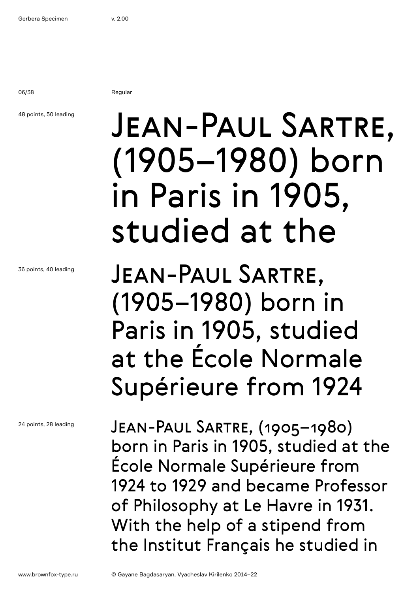06/38 Regular

### 48 points, 50 leading

# JEAN-PAUL SARTRE, (1905–1980) born in Paris in 1905, studied at the

JEAN-PAUL SARTRE, (1905–1980) born in Paris in 1905, studied at the École Normale Supérieure from 1924

JEAN-PAUL SARTRE, (1905–1980) born in Paris in 1905, studied at the École Normale Supérieure from 1924 to 1929 and became Professor of Philosophy at Le Havre in 1931. With the help of a stipend from the Institut Français he studied in

36 points, 40 leading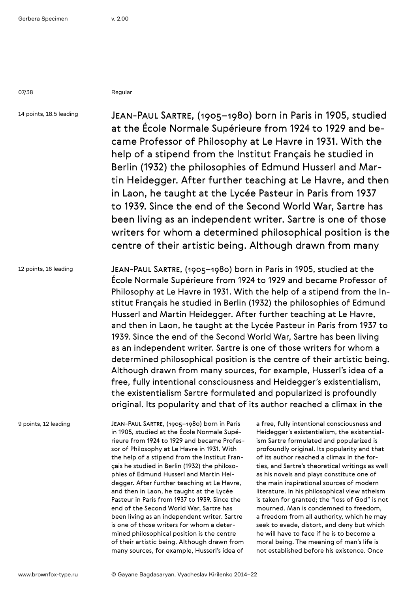07/38 Regular

14 points, 18.5 leading

JEAN-PAUL SARTRE, (1905–1980) born in Paris in 1905, studied at the École Normale Supérieure from 1924 to 1929 and became Professor of Philosophy at Le Havre in 1931. With the help of a stipend from the Institut Français he studied in Berlin (1932) the philosophies of Edmund Husserl and Martin Heidegger. After further teaching at Le Havre, and then in Laon, he taught at the Lycée Pasteur in Paris from 1937 to 1939. Since the end of the Second World War, Sartre has been living as an independent writer. Sartre is one of those writers for whom a determined philosophical position is the centre of their artistic being. Although drawn from many

12 points, 16 leading JEAN-PAUL SARTRE, (1905–1980) born in Paris in 1905, studied at the École Normale Supérieure from 1924 to 1929 and became Professor of Philosophy at Le Havre in 1931. With the help of a stipend from the Institut Français he studied in Berlin (1932) the philosophies of Edmund Husserl and Martin Heidegger. After further teaching at Le Havre, and then in Laon, he taught at the Lycée Pasteur in Paris from 1937 to 1939. Since the end of the Second World War, Sartre has been living as an independent writer. Sartre is one of those writers for whom a determined philosophical position is the centre of their artistic being. Although drawn from many sources, for example, Husserl's idea of a free, fully intentional consciousness and Heidegger's existentialism, the existentialism Sartre formulated and popularized is profoundly original. Its popularity and that of its author reached a climax in the

9 points, 12 leading

JEAN-PAUL SARTRE, (1905–1980) born in Paris in 1905, studied at the École Normale Supérieure from 1924 to 1929 and became Professor of Philosophy at Le Havre in 1931. With the help of a stipend from the Institut Français he studied in Berlin (1932) the philosophies of Edmund Husserl and Martin Heidegger. After further teaching at Le Havre, and then in Laon, he taught at the Lycée Pasteur in Paris from 1937 to 1939. Since the end of the Second World War, Sartre has been living as an independent writer. Sartre is one of those writers for whom a determined philosophical position is the centre of their artistic being. Although drawn from many sources, for example, Husserl's idea of

a free, fully intentional consciousness and Heidegger's existentialism, the existentialism Sartre formulated and popularized is profoundly original. Its popularity and that of its author reached a climax in the forties, and Sartre's theoretical writings as well as his novels and plays constitute one of the main inspirational sources of modern literature. In his philosophical view atheism is taken for granted; the "loss of God" is not mourned. Man is condemned to freedom, a freedom from all authority, which he may seek to evade, distort, and deny but which he will have to face if he is to become a moral being. The meaning of man's life is not established before his existence. Once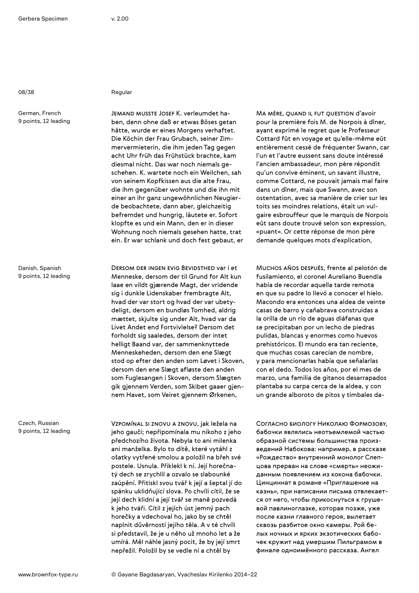08/38 Regular

German, French 9 points, 12 leading

Danish, Spanish 9 points, 12 leading

Czech, Russian 9 points, 12 leading

JEMAND MUSSTE JOSEF K. verleumdet haben, denn ohne daß er etwas Böses getan hätte, wurde er eines Morgens verhaftet. Die Köchin der Frau Grubach, seiner Zimmervermieterin, die ihm jeden Tag gegen acht Uhr früh das Frühstück brachte, kam diesmal nicht. Das war noch niemals geschehen. K. wartete noch ein Weilchen, sah von seinem Kopfkissen aus die alte Frau, die ihm gegenüber wohnte und die ihn mit einer an ihr ganz ungewöhnlichen Neugierde beobachtete, dann aber, gleichzeitig befremdet und hungrig, läutete er. Sofort klopfte es und ein Mann, den er in dieser Wohnung noch niemals gesehen hatte, trat ein. Er war schlank und doch fest gebaut, er

DERSOM DER INGEN EVIG BEVIDSTHED var i et Menneske, dersom der til Grund for Alt kun laae en vildt gjærende Magt, der vridende sig i dunkle Lidenskaber frembragte Alt, hvad der var stort og hvad der var ubetydeligt, dersom en bundløs Tomhed, aldrig mættet, skjulte sig under Alt, hvad var da Livet Andet end Fortvivlelse? Dersom det forholdt sig saaledes, dersom der intet helligt Baand var, der sammenknyttede Menneskeheden, dersom den ene Slægt stod op efter den anden som Løvet i Skoven, dersom den ene Slægt afløste den anden som Fuglesangen i Skoven, dersom Slægten gik gjennem Verden, som Skibet gaaer gjennem Havet, som Veiret gjennem Ørkenen,

VZPOMÍNAL SI ZNOVU A ZNOVU, jak ležela na jeho gauči; nepřipomínala mu nikoho z jeho předchozího života. Nebyla to ani milenka ani manželka. Bylo to dítě, které vytáhl z ošatky vytřené smolou a položil na břeh své postele. Usnula. Přiklekl k ní. Její horečnatý dech se zrychlil a ozvalo se slabounké zaúpění. Přitiskl svou tvář k její a šeptal jí do spánku uklidňující slova. Po chvíli cítil, že se její dech klidní a její tvář se maně pozvedá k jeho tváři. Cítil z jejích úst jemný pach horečky a vdechoval ho, jako by se chtěl naplnit důvěrností jejího těla. A v té chvíli si představil, že je u něho už mnoho let a že umírá. Měl náhle jasný pocit, že by její smrt nepřežil. Položil by se vedle ní a chtěl by

MA MÈRE, QUAND IL FUT QUESTION d'avoir pour la première fois M. de Norpois à dîner, ayant exprimé le regret que le Professeur Cottard fût en voyage et qu'elle-même eût entièrement cessé de fréquenter Swann, car l'un et l'autre eussent sans doute intéressé l'ancien ambassadeur, mon père répondit qu'un convive éminent, un savant illustre, comme Cottard, ne pouvait jamais mal faire dans un dîner, mais que Swann, avec son ostentation, avec sa manière de crier sur les toits ses moindres relations, était un vulgaire esbrouffeur que le marquis de Norpois eût sans doute trouvé selon son expression, «puant». Or cette réponse de mon père demande quelques mots d'explication,

MUCHOS AÑOS DESPUÉS, frente al pelotón de fusilamiento, el coronel Aureliano Buendía había de recordar aquella tarde remota en que su padre lo llevó a conocer el hielo. Macondo era entonces una aldea de veinte casas de barro y cañabrava construidas a la orilla de un río de aguas diáfanas que se precipitaban por un lecho de piedras pulidas, blancas y enormes como huevos prehistóricos. El mundo era tan reciente, que muchas cosas carecían de nombre, y para mencionarlas había que señalarlas con el dedo. Todos los años, por el mes de marzo, una familia de gitanos desarrapados plantaba su carpa cerca de la aldea, y con un grande alboroto de pitos y timbales da-

СОГЛАСНО БИОЛОГУ НИКОЛАЮ ФОРМОЗОВУ, бабочки являлись неотъемлемой частью образной системы большинства произведений Набокова: например, в рассказе «Рождество» внутренний монолог Слепцова прерван на слове «смерть» неожиданным появлением из кокона бабочки. Цинциннат в романе «Приглашение на казнь», при написании письма отвлекается от него, чтобы прикоснуться к грушевой павлиноглазке, которая позже, уже после казни главного героя, вылетает сквозь разбитое окно камеры. Рой белых ночных и ярких экзотических бабочек кружит над умершим Пильграмом в финале одноимённого рассказа. Ангел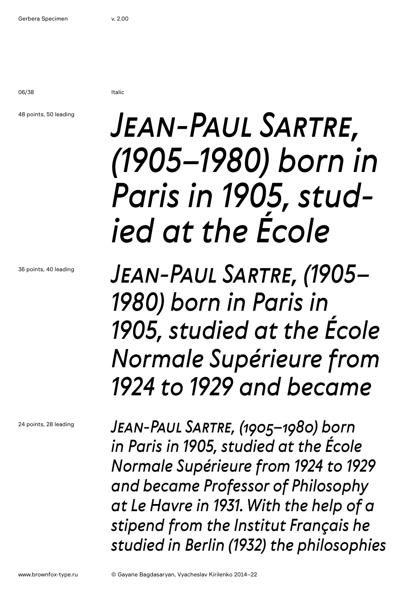06/38 Italic

### 48 points, 50 leading

*JEAN-PAUL SARTRE, (1905–1980) born in Paris in 1905, studied at the École* 

*JEAN-PAUL SARTRE, (1905– 1980) born in Paris in 1905, studied at the École Normale Supérieure from 1924 to 1929 and became* 

24 points, 28 leading

36 points, 40 leading

*JEAN-PAUL SARTRE, (1905–1980) born in Paris in 1905, studied at the École Normale Supérieure from 1924 to 1929 and became Professor of Philosophy at Le Havre in 1931. With the help of a stipend from the Institut Français he studied in Berlin (1932) the philosophies*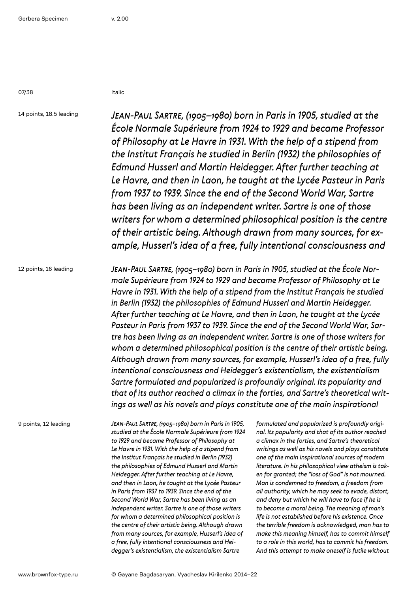07/38 Italic

14 points, 18.5 leading

*JEAN-PAUL SARTRE, (1905–1980) born in Paris in 1905, studied at the École Normale Supérieure from 1924 to 1929 and became Professor of Philosophy at Le Havre in 1931. With the help of a stipend from the Institut Français he studied in Berlin (1932) the philosophies of Edmund Husserl and Martin Heidegger. After further teaching at Le Havre, and then in Laon, he taught at the Lycée Pasteur in Paris from 1937 to 1939. Since the end of the Second World War, Sartre has been living as an independent writer. Sartre is one of those writers for whom a determined philosophical position is the centre of their artistic being. Although drawn from many sources, for example, Husserl's idea of a free, fully intentional consciousness and* 

12 points, 16 leading

*JEAN-PAUL SARTRE, (1905–1980) born in Paris in 1905, studied at the École Normale Supérieure from 1924 to 1929 and became Professor of Philosophy at Le Havre in 1931. With the help of a stipend from the Institut Français he studied in Berlin (1932) the philosophies of Edmund Husserl and Martin Heidegger. After further teaching at Le Havre, and then in Laon, he taught at the Lycée Pasteur in Paris from 1937 to 1939. Since the end of the Second World War, Sartre has been living as an independent writer. Sartre is one of those writers for whom a determined philosophical position is the centre of their artistic being. Although drawn from many sources, for example, Husserl's idea of a free, fully intentional consciousness and Heidegger's existentialism, the existentialism Sartre formulated and popularized is profoundly original. Its popularity and that of its author reached a climax in the forties, and Sartre's theoretical writings as well as his novels and plays constitute one of the main inspirational* 

9 points, 12 leading

*JEAN-PAUL SARTRE, (1905–1980) born in Paris in 1905, studied at the École Normale Supérieure from 1924 to 1929 and became Professor of Philosophy at Le Havre in 1931. With the help of a stipend from the Institut Français he studied in Berlin (1932) the philosophies of Edmund Husserl and Martin Heidegger. After further teaching at Le Havre, and then in Laon, he taught at the Lycée Pasteur in Paris from 1937 to 1939. Since the end of the Second World War, Sartre has been living as an independent writer. Sartre is one of those writers for whom a determined philosophical position is the centre of their artistic being. Although drawn from many sources, for example, Husserl's idea of a free, fully intentional consciousness and Heidegger's existentialism, the existentialism Sartre* 

*formulated and popularized is profoundly original. Its popularity and that of its author reached a climax in the forties, and Sartre's theoretical writings as well as his novels and plays constitute one of the main inspirational sources of modern literature. In his philosophical view atheism is taken for granted; the "loss of God" is not mourned. Man is condemned to freedom, a freedom from all authority, which he may seek to evade, distort, and deny but which he will have to face if he is to become a moral being. The meaning of man's life is not established before his existence. Once the terrible freedom is acknowledged, man has to make this meaning himself, has to commit himself to a role in this world, has to commit his freedom. And this attempt to make oneself is futile without*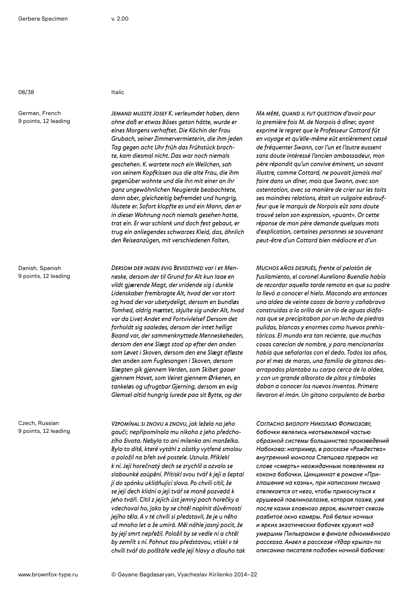08/38 Italic

German, French 9 points, 12 leading

Danish, Spanish 9 points, 12 leading

Czech, Russian 9 points, 12 leading

*JEMAND MUSSTE JOSEF K. verleumdet haben, denn ohne daß er etwas Böses getan hätte, wurde er eines Morgens verhaftet. Die Köchin der Frau Grubach, seiner Zimmervermieterin, die ihm jeden Tag gegen acht Uhr früh das Frühstück brachte, kam diesmal nicht. Das war noch niemals geschehen. K. wartete noch ein Weilchen, sah von seinem Kopfkissen aus die alte Frau, die ihm gegenüber wohnte und die ihn mit einer an ihr ganz ungewöhnlichen Neugierde beobachtete, dann aber, gleichzeitig befremdet und hungrig, läutete er. Sofort klopfte es und ein Mann, den er in dieser Wohnung noch niemals gesehen hatte, trat ein. Er war schlank und doch fest gebaut, er trug ein anliegendes schwarzes Kleid, das, ähnlich den Reiseanzügen, mit verschiedenen Falten,* 

*DERSOM DER INGEN EVIG BEVIDSTHED var i et Menneske, dersom der til Grund for Alt kun laae en vildt gjærende Magt, der vridende sig i dunkle Lidenskaber frembragte Alt, hvad der var stort og hvad der var ubetydeligt, dersom en bundløs Tomhed, aldrig mættet, skjulte sig under Alt, hvad var da Livet Andet end Fortvivlelse? Dersom det forholdt sig saaledes, dersom der intet helligt Baand var, der sammenknyttede Menneskeheden, dersom den ene Slægt stod op efter den anden som Løvet i Skoven, dersom den ene Slægt afløste den anden som Fuglesangen i Skoven, dersom Slægten gik gjennem Verden, som Skibet gaaer gjennem Havet, som Veiret gjennem Ørkenen, en tankeløs og ufrugtbar Gjerning, dersom en evig Glemsel altid hungrig lurede paa sit Bytte, og der* 

*MA MÈRE, QUAND IL FUT QUESTION d'avoir pour la première fois M. de Norpois à dîner, ayant exprimé le regret que le Professeur Cottard fût en voyage et qu'elle-même eût entièrement cessé de fréquenter Swann, car l'un et l'autre eussent sans doute intéressé l'ancien ambassadeur, mon père répondit qu'un convive éminent, un savant illustre, comme Cottard, ne pouvait jamais mal faire dans un dîner, mais que Swann, avec son ostentation, avec sa manière de crier sur les toits ses moindres relations, était un vulgaire esbrouffeur que le marquis de Norpois eût sans doute trouvé selon son expression, «puant». Or cette réponse de mon père demande quelques mots d'explication, certaines personnes se souvenant peut-être d'un Cottard bien médiocre et d'un* 

*MUCHOS AÑOS DESPUÉS, frente al pelotón de fusilamiento, el coronel Aureliano Buendía había de recordar aquella tarde remota en que su padre lo llevó a conocer el hielo. Macondo era entonces una aldea de veinte casas de barro y cañabrava construidas a la orilla de un río de aguas diáfanas que se precipitaban por un lecho de piedras pulidas, blancas y enormes como huevos prehistóricos. El mundo era tan reciente, que muchas cosas carecían de nombre, y para mencionarlas había que señalarlas con el dedo. Todos los años, por el mes de marzo, una familia de gitanos desarrapados plantaba su carpa cerca de la aldea, y con un grande alboroto de pitos y timbales daban a conocer los nuevos inventos. Primero llevaron el imán. Un gitano corpulento de barba* 

*VZPOMÍNAL SI ZNOVU A ZNOVU, jak ležela na jeho gauči; nepřipomínala mu nikoho z jeho předchozího života. Nebyla to ani milenka ani manželka. Bylo to dítě, které vytáhl z ošatky vytřené smolou a položil na břeh své postele. Usnula. Přiklekl k ní. Její horečnatý dech se zrychlil a ozvalo se slabounké zaúpění. Přitiskl svou tvář k její a šeptal jí do spánku uklidňující slova. Po chvíli cítil, že se její dech klidní a její tvář se maně pozvedá k jeho tváři. Cítil z jejích úst jemný pach horečky a vdechoval ho, jako by se chtěl naplnit důvěrností jejího těla. A v té chvíli si představil, že je u něho už mnoho let a že umírá. Měl náhle jasný pocit, že by její smrt nepřežil. Položil by se vedle ní a chtěl by zemřít s ní. Pohnut tou představou, vtiskl v té chvíli tvář do polštáře vedle její hlavy a dlouho tak*  *СОГЛАСНО БИОЛОГУ НИКОЛАЮ ФОРМОЗОВУ, бабочки являлись неотъемлемой частью образной системы большинства произведений Набокова: например, в рассказе «Рождество» внутренний монолог Слепцова прерван на слове «смерть» неожиданным появлением из кокона бабочки. Цинциннат в романе «Приглашение на казнь», при написании письма отвлекается от него, чтобы прикоснуться к грушевой павлиноглазке, которая позже, уже после казни главного героя, вылетает сквозь разбитое окно камеры. Рой белых ночных и ярких экзотических бабочек кружит над умершим Пильграмом в финале одноимённого рассказа. Ангел в рассказе «Удар крыла» по описанию писателя подобен ночной бабочке:*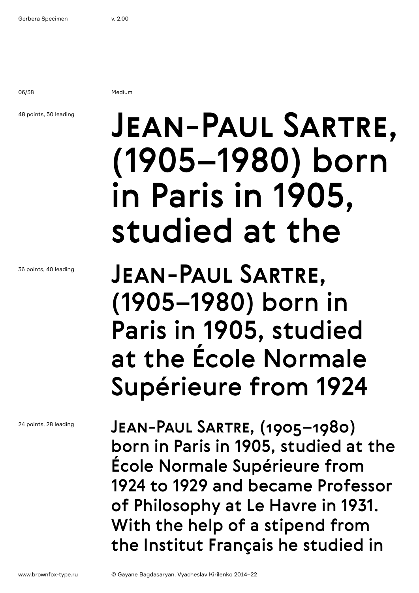06/38 Medium

### 48 points, 50 leading

# Jean-Paul Sartre, (1905–1980) born in Paris in 1905, studied at the

Jean-Paul Sartre, (1905–1980) born in Paris in 1905, studied at the École Normale Supérieure from 1924

Jean-Paul Sartre, (1905–1980) born in Paris in 1905, studied at the École Normale Supérieure from 1924 to 1929 and became Professor of Philosophy at Le Havre in 1931. With the help of a stipend from the Institut Français he studied in

36 points, 40 leading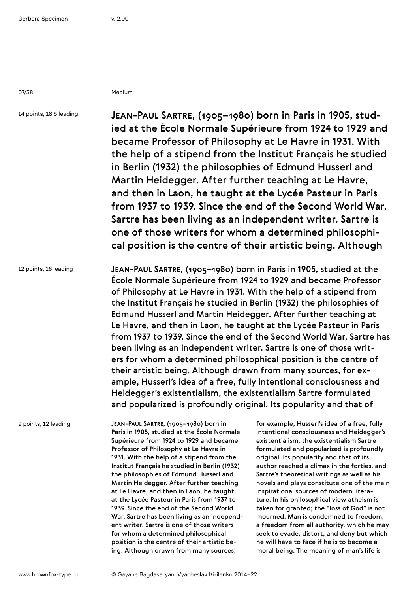07/38 Medium

14 points, 18.5 leading

Jean-Paul Sartre, (1905–1980) born in Paris in 1905, studied at the École Normale Supérieure from 1924 to 1929 and became Professor of Philosophy at Le Havre in 1931. With the help of a stipend from the Institut Français he studied in Berlin (1932) the philosophies of Edmund Husserl and Martin Heidegger. After further teaching at Le Havre, and then in Laon, he taught at the Lycée Pasteur in Paris from 1937 to 1939. Since the end of the Second World War, Sartre has been living as an independent writer. Sartre is one of those writers for whom a determined philosophical position is the centre of their artistic being. Although

12 points, 16 leading

Jean-Paul Sartre, (1905–1980) born in Paris in 1905, studied at the École Normale Supérieure from 1924 to 1929 and became Professor of Philosophy at Le Havre in 1931. With the help of a stipend from the Institut Français he studied in Berlin (1932) the philosophies of Edmund Husserl and Martin Heidegger. After further teaching at Le Havre, and then in Laon, he taught at the Lycée Pasteur in Paris from 1937 to 1939. Since the end of the Second World War, Sartre has been living as an independent writer. Sartre is one of those writers for whom a determined philosophical position is the centre of their artistic being. Although drawn from many sources, for example, Husserl's idea of a free, fully intentional consciousness and Heidegger's existentialism, the existentialism Sartre formulated and popularized is profoundly original. Its popularity and that of

9 points, 12 leading

Jean-Paul Sartre, (1905–1980) born in Paris in 1905, studied at the École Normale Supérieure from 1924 to 1929 and became Professor of Philosophy at Le Havre in 1931. With the help of a stipend from the Institut Français he studied in Berlin (1932) the philosophies of Edmund Husserl and Martin Heidegger. After further teaching at Le Havre, and then in Laon, he taught at the Lycée Pasteur in Paris from 1937 to 1939. Since the end of the Second World War, Sartre has been living as an independent writer. Sartre is one of those writers for whom a determined philosophical position is the centre of their artistic being. Although drawn from many sources,

for example, Husserl's idea of a free, fully intentional consciousness and Heidegger's existentialism, the existentialism Sartre formulated and popularized is profoundly original. Its popularity and that of its author reached a climax in the forties, and Sartre's theoretical writings as well as his novels and plays constitute one of the main inspirational sources of modern literature. In his philosophical view atheism is taken for granted; the "loss of God" is not mourned. Man is condemned to freedom, a freedom from all authority, which he may seek to evade, distort, and deny but which he will have to face if he is to become a moral being. The meaning of man's life is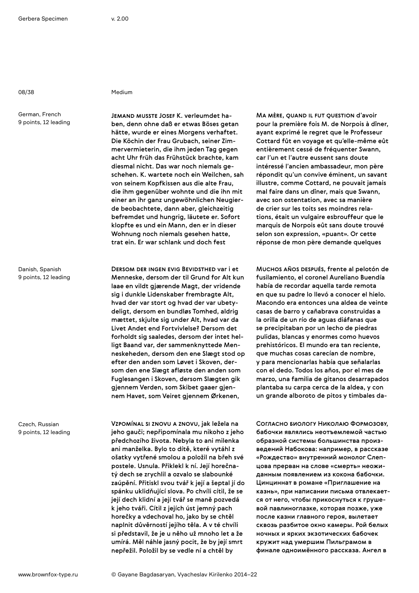German, French 9 points, 12 leading

Danish, Spanish 9 points, 12 leading

Czech, Russian 9 points, 12 leading

### 08/38 Medium

Jemand musste Josef K. verleumdet haben, denn ohne daß er etwas Böses getan hätte, wurde er eines Morgens verhaftet. Die Köchin der Frau Grubach, seiner Zimmervermieterin, die ihm jeden Tag gegen acht Uhr früh das Frühstück brachte, kam diesmal nicht. Das war noch niemals geschehen. K. wartete noch ein Weilchen, sah von seinem Kopfkissen aus die alte Frau, die ihm gegenüber wohnte und die ihn mit einer an ihr ganz ungewöhnlichen Neugierde beobachtete, dann aber, gleichzeitig befremdet und hungrig, läutete er. Sofort klopfte es und ein Mann, den er in dieser Wohnung noch niemals gesehen hatte, trat ein. Er war schlank und doch fest

Dersom der ingen evig Bevidsthed var i et Menneske, dersom der til Grund for Alt kun laae en vildt gjærende Magt, der vridende sig i dunkle Lidenskaber frembragte Alt, hvad der var stort og hvad der var ubetydeligt, dersom en bundløs Tomhed, aldrig mættet, skjulte sig under Alt, hvad var da Livet Andet end Fortvivlelse? Dersom det forholdt sig saaledes, dersom der intet helligt Baand var, der sammenknyttede Menneskeheden, dersom den ene Slægt stod op efter den anden som Løvet i Skoven, dersom den ene Slægt afløste den anden som Fuglesangen i Skoven, dersom Slægten gik gjennem Verden, som Skibet gaaer gjennem Havet, som Veiret gjennem Ørkenen,

Vzpomínal si znovu a znovu, jak ležela na jeho gauči; nepřipomínala mu nikoho z jeho předchozího života. Nebyla to ani milenka ani manželka. Bylo to dítě, které vytáhl z ošatky vytřené smolou a položil na břeh své postele. Usnula. Přiklekl k ní. Její horečnatý dech se zrychlil a ozvalo se slabounké zaúpění. Přitiskl svou tvář k její a šeptal jí do spánku uklidňující slova. Po chvíli cítil, že se její dech klidní a její tvář se maně pozvedá k jeho tváři. Cítil z jejích úst jemný pach horečky a vdechoval ho, jako by se chtěl naplnit důvěrností jejího těla. A v té chvíli si představil, že je u něho už mnoho let a že umírá. Měl náhle jasný pocit, že by její smrt nepřežil. Položil by se vedle ní a chtěl by

Ma mère, quand il fut question d'avoir pour la première fois M. de Norpois à dîner, ayant exprimé le regret que le Professeur Cottard fût en voyage et qu'elle-même eût entièrement cessé de fréquenter Swann, car l'un et l'autre eussent sans doute intéressé l'ancien ambassadeur, mon père répondit qu'un convive éminent, un savant illustre, comme Cottard, ne pouvait jamais mal faire dans un dîner, mais que Swann, avec son ostentation, avec sa manière de crier sur les toits ses moindres relations, était un vulgaire esbrouffeur que le marquis de Norpois eût sans doute trouvé selon son expression, «puant». Or cette réponse de mon père demande quelques

Muchos años después, frente al pelotón de fusilamiento, el coronel Aureliano Buendía había de recordar aquella tarde remota en que su padre lo llevó a conocer el hielo. Macondo era entonces una aldea de veinte casas de barro y cañabrava construidas a la orilla de un río de aguas diáfanas que se precipitaban por un lecho de piedras pulidas, blancas y enormes como huevos prehistóricos. El mundo era tan reciente, que muchas cosas carecían de nombre, y para mencionarlas había que señalarlas con el dedo. Todos los años, por el mes de marzo, una familia de gitanos desarrapados plantaba su carpa cerca de la aldea, y con un grande alboroto de pitos y timbales da-

Согласно биологу Николаю Формозову, бабочки являлись неотъемлемой частью образной системы большинства произведений Набокова: например, в рассказе «Рождество» внутренний монолог Слепцова прерван на слове «смерть» неожиданным появлением из кокона бабочки. Цинциннат в романе «Приглашение на казнь», при написании письма отвлекается от него, чтобы прикоснуться к грушевой павлиноглазке, которая позже, уже после казни главного героя, вылетает сквозь разбитое окно камеры. Рой белых ночных и ярких экзотических бабочек кружит над умершим Пильграмом в финале одноимённого рассказа. Ангел в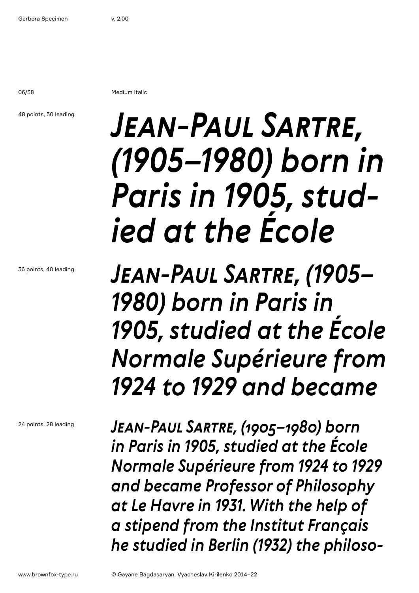06/38 Medium Italic

48 points, 50 leading

36 points, 40 leading

# *Jean-Paul Sartre, (1905–1980) born in Paris in 1905, studied at the École*

*Jean-Paul Sartre, (1905– 1980) born in Paris in 1905, studied at the École Normale Supérieure from 1924 to 1929 and became* 

24 points, 28 leading

*Jean-Paul Sartre, (1905–1980) born in Paris in 1905, studied at the École Normale Supérieure from 1924 to 1929 and became Professor of Philosophy at Le Havre in 1931. With the help of a stipend from the Institut Français he studied in Berlin (1932) the philoso-*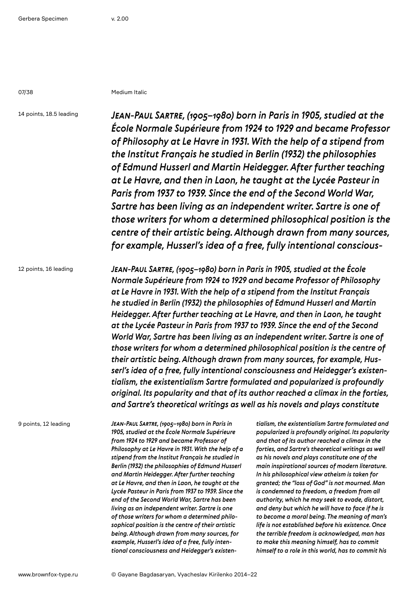07/38 Medium Italic

14 points, 18.5 leading

*Jean-Paul Sartre, (1905–1980) born in Paris in 1905, studied at the École Normale Supérieure from 1924 to 1929 and became Professor of Philosophy at Le Havre in 1931. With the help of a stipend from the Institut Français he studied in Berlin (1932) the philosophies of Edmund Husserl and Martin Heidegger. After further teaching at Le Havre, and then in Laon, he taught at the Lycée Pasteur in Paris from 1937 to 1939. Since the end of the Second World War, Sartre has been living as an independent writer. Sartre is one of those writers for whom a determined philosophical position is the centre of their artistic being. Although drawn from many sources, for example, Husserl's idea of a free, fully intentional conscious-*

12 points, 16 leading

*Jean-Paul Sartre, (1905–1980) born in Paris in 1905, studied at the École Normale Supérieure from 1924 to 1929 and became Professor of Philosophy at Le Havre in 1931. With the help of a stipend from the Institut Français he studied in Berlin (1932) the philosophies of Edmund Husserl and Martin Heidegger. After further teaching at Le Havre, and then in Laon, he taught at the Lycée Pasteur in Paris from 1937 to 1939. Since the end of the Second World War, Sartre has been living as an independent writer. Sartre is one of those writers for whom a determined philosophical position is the centre of their artistic being. Although drawn from many sources, for example, Husserl's idea of a free, fully intentional consciousness and Heidegger's existentialism, the existentialism Sartre formulated and popularized is profoundly original. Its popularity and that of its author reached a climax in the forties, and Sartre's theoretical writings as well as his novels and plays constitute* 

9 points, 12 leading

*Jean-Paul Sartre, (1905–1980) born in Paris in 1905, studied at the École Normale Supérieure from 1924 to 1929 and became Professor of Philosophy at Le Havre in 1931. With the help of a stipend from the Institut Français he studied in Berlin (1932) the philosophies of Edmund Husserl and Martin Heidegger. After further teaching at Le Havre, and then in Laon, he taught at the Lycée Pasteur in Paris from 1937 to 1939. Since the end of the Second World War, Sartre has been living as an independent writer. Sartre is one of those writers for whom a determined philosophical position is the centre of their artistic being. Although drawn from many sources, for example, Husserl's idea of a free, fully intentional consciousness and Heidegger's existen-*

*tialism, the existentialism Sartre formulated and popularized is profoundly original. Its popularity and that of its author reached a climax in the forties, and Sartre's theoretical writings as well as his novels and plays constitute one of the main inspirational sources of modern literature. In his philosophical view atheism is taken for granted; the "loss of God" is not mourned. Man is condemned to freedom, a freedom from all authority, which he may seek to evade, distort, and deny but which he will have to face if he is to become a moral being. The meaning of man's life is not established before his existence. Once the terrible freedom is acknowledged, man has to make this meaning himself, has to commit himself to a role in this world, has to commit his*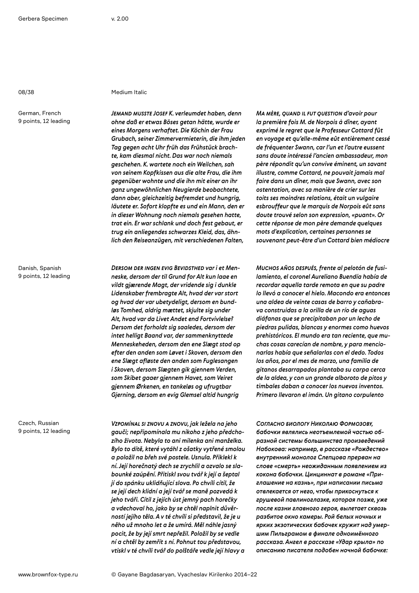German, French 9 points, 12 leading

Danish, Spanish 9 points, 12 leading

### 08/38 Medium Italic

*Jemand musste Josef K. verleumdet haben, denn ohne daß er etwas Böses getan hätte, wurde er eines Morgens verhaftet. Die Köchin der Frau Grubach, seiner Zimmervermieterin, die ihm jeden Tag gegen acht Uhr früh das Frühstück brachte, kam diesmal nicht. Das war noch niemals geschehen. K. wartete noch ein Weilchen, sah von seinem Kopfkissen aus die alte Frau, die ihm gegenüber wohnte und die ihn mit einer an ihr ganz ungewöhnlichen Neugierde beobachtete, dann aber, gleichzeitig befremdet und hungrig, läutete er. Sofort klopfte es und ein Mann, den er in dieser Wohnung noch niemals gesehen hatte, trat ein. Er war schlank und doch fest gebaut, er trug ein anliegendes schwarzes Kleid, das, ähnlich den Reiseanzügen, mit verschiedenen Falten,* 

*Dersom der ingen evig Bevidsthed var i et Menneske, dersom der til Grund for Alt kun laae en vildt gjærende Magt, der vridende sig i dunkle Lidenskaber frembragte Alt, hvad der var stort og hvad der var ubetydeligt, dersom en bundløs Tomhed, aldrig mættet, skjulte sig under Alt, hvad var da Livet Andet end Fortvivlelse? Dersom det forholdt sig saaledes, dersom der intet helligt Baand var, der sammenknyttede Menneskeheden, dersom den ene Slægt stod op efter den anden som Løvet i Skoven, dersom den ene Slægt afløste den anden som Fuglesangen i Skoven, dersom Slægten gik gjennem Verden, som Skibet gaaer gjennem Havet, som Veiret gjennem Ørkenen, en tankeløs og ufrugtbar Gjerning, dersom en evig Glemsel altid hungrig* 

*Ma mère, quand il fut question d'avoir pour la première fois M. de Norpois à dîner, ayant exprimé le regret que le Professeur Cottard fût en voyage et qu'elle-même eût entièrement cessé de fréquenter Swann, car l'un et l'autre eussent sans doute intéressé l'ancien ambassadeur, mon père répondit qu'un convive éminent, un savant illustre, comme Cottard, ne pouvait jamais mal faire dans un dîner, mais que Swann, avec son ostentation, avec sa manière de crier sur les toits ses moindres relations, était un vulgaire esbrouffeur que le marquis de Norpois eût sans doute trouvé selon son expression, «puant». Or cette réponse de mon père demande quelques mots d'explication, certaines personnes se souvenant peut-être d'un Cottard bien médiocre* 

*Muchos años después, frente al pelotón de fusilamiento, el coronel Aureliano Buendía había de recordar aquella tarde remota en que su padre lo llevó a conocer el hielo. Macondo era entonces una aldea de veinte casas de barro y cañabrava construidas a la orilla de un río de aguas diáfanas que se precipitaban por un lecho de piedras pulidas, blancas y enormes como huevos prehistóricos. El mundo era tan reciente, que muchas cosas carecían de nombre, y para mencionarlas había que señalarlas con el dedo. Todos los años, por el mes de marzo, una familia de gitanos desarrapados plantaba su carpa cerca de la aldea, y con un grande alboroto de pitos y timbales daban a conocer los nuevos inventos. Primero llevaron el imán. Un gitano corpulento* 

Czech, Russian 9 points, 12 leading

*Vzpomínal si znovu a znovu, jak ležela na jeho gauči; nepřipomínala mu nikoho z jeho předchozího života. Nebyla to ani milenka ani manželka. Bylo to dítě, které vytáhl z ošatky vytřené smolou a položil na břeh své postele. Usnula. Přiklekl k ní. Její horečnatý dech se zrychlil a ozvalo se slabounké zaúpění. Přitiskl svou tvář k její a šeptal jí do spánku uklidňující slova. Po chvíli cítil, že se její dech klidní a její tvář se maně pozvedá k jeho tváři. Cítil z jejích úst jemný pach horečky a vdechoval ho, jako by se chtěl naplnit důvěrností jejího těla. A v té chvíli si představil, že je u něho už mnoho let a že umírá. Měl náhle jasný pocit, že by její smrt nepřežil. Položil by se vedle ní a chtěl by zemřít s ní. Pohnut tou představou, vtiskl v té chvíli tvář do polštáře vedle její hlavy a* 

*Согласно биологу Николаю Формозову, бабочки являлись неотъемлемой частью образной системы большинства произведений Набокова: например, в рассказе «Рождество» внутренний монолог Слепцова прерван на слове «смерть» неожиданным появлением из кокона бабочки. Цинциннат в романе «Приглашение на казнь», при написании письма отвлекается от него, чтобы прикоснуться к грушевой павлиноглазке, которая позже, уже после казни главного героя, вылетает сквозь разбитое окно камеры. Рой белых ночных и ярких экзотических бабочек кружит над умершим Пильграмом в финале одноимённого рассказа. Ангел в рассказе «Удар крыла» по описанию писателя подобен ночной бабочке:*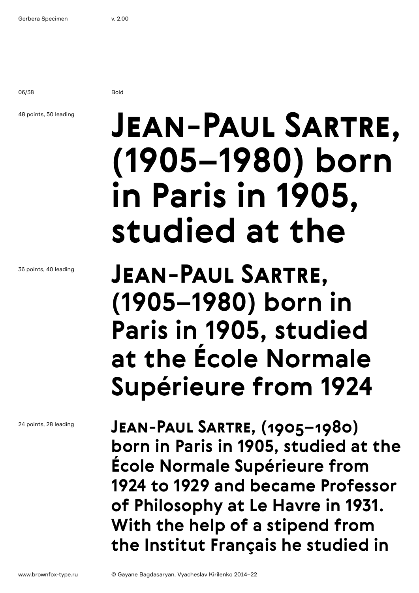06/38 Bold

48 points, 50 leading

# **Jean-Paul Sartre, (1905–1980) born in Paris in 1905, studied at the**

**Jean-Paul Sartre, (1905–1980) born in Paris in 1905, studied at the École Normale Supérieure from 1924** 

**Jean-Paul Sartre, (1905–1980) born in Paris in 1905, studied at the École Normale Supérieure from 1924 to 1929 and became Professor of Philosophy at Le Havre in 1931. With the help of a stipend from the Institut Français he studied in** 

24 points, 28 leading

36 points, 40 leading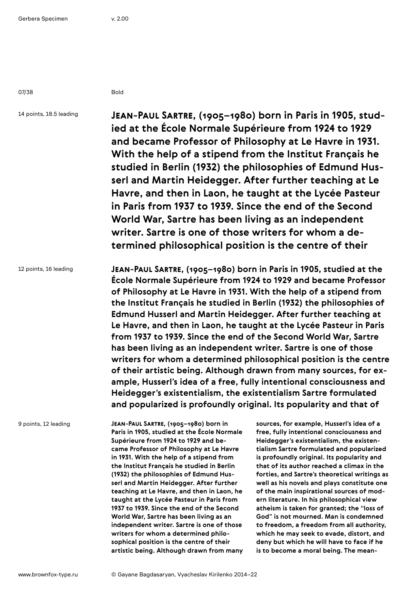07/38 Bold

14 points, 18.5 leading

**Jean-Paul Sartre, (1905–1980) born in Paris in 1905, studied at the École Normale Supérieure from 1924 to 1929 and became Professor of Philosophy at Le Havre in 1931. With the help of a stipend from the Institut Français he studied in Berlin (1932) the philosophies of Edmund Husserl and Martin Heidegger. After further teaching at Le Havre, and then in Laon, he taught at the Lycée Pasteur in Paris from 1937 to 1939. Since the end of the Second World War, Sartre has been living as an independent writer. Sartre is one of those writers for whom a determined philosophical position is the centre of their** 

12 points, 16 leading

**Jean-Paul Sartre, (1905–1980) born in Paris in 1905, studied at the École Normale Supérieure from 1924 to 1929 and became Professor of Philosophy at Le Havre in 1931. With the help of a stipend from the Institut Français he studied in Berlin (1932) the philosophies of Edmund Husserl and Martin Heidegger. After further teaching at Le Havre, and then in Laon, he taught at the Lycée Pasteur in Paris from 1937 to 1939. Since the end of the Second World War, Sartre has been living as an independent writer. Sartre is one of those writers for whom a determined philosophical position is the centre of their artistic being. Although drawn from many sources, for example, Husserl's idea of a free, fully intentional consciousness and Heidegger's existentialism, the existentialism Sartre formulated and popularized is profoundly original. Its popularity and that of** 

9 points, 12 leading

**Jean-Paul Sartre, (1905–1980) born in Paris in 1905, studied at the École Normale Supérieure from 1924 to 1929 and became Professor of Philosophy at Le Havre in 1931. With the help of a stipend from the Institut Français he studied in Berlin (1932) the philosophies of Edmund Husserl and Martin Heidegger. After further teaching at Le Havre, and then in Laon, he taught at the Lycée Pasteur in Paris from 1937 to 1939. Since the end of the Second World War, Sartre has been living as an independent writer. Sartre is one of those writers for whom a determined philosophical position is the centre of their artistic being. Although drawn from many** 

**sources, for example, Husserl's idea of a free, fully intentional consciousness and Heidegger's existentialism, the existentialism Sartre formulated and popularized is profoundly original. Its popularity and that of its author reached a climax in the forties, and Sartre's theoretical writings as well as his novels and plays constitute one of the main inspirational sources of modern literature. In his philosophical view atheism is taken for granted; the "loss of God" is not mourned. Man is condemned to freedom, a freedom from all authority, which he may seek to evade, distort, and deny but which he will have to face if he is to become a moral being. The mean-**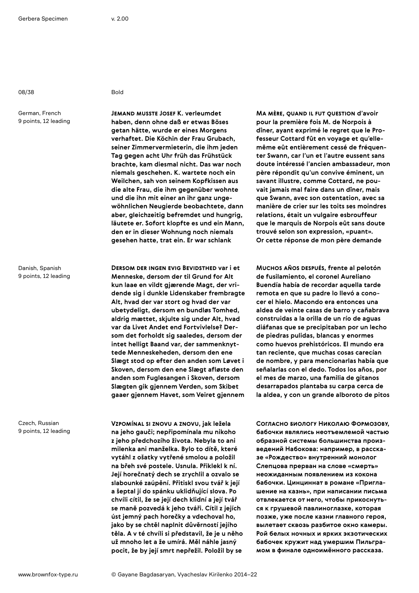08/38 Bold

German, French 9 points, 12 leading

Danish, Spanish 9 points, 12 leading

Czech, Russian 9 points, 12 leading

**Jemand musste Josef K. verleumdet haben, denn ohne daß er etwas Böses getan hätte, wurde er eines Morgens verhaftet. Die Köchin der Frau Grubach, seiner Zimmervermieterin, die ihm jeden Tag gegen acht Uhr früh das Frühstück brachte, kam diesmal nicht. Das war noch niemals geschehen. K. wartete noch ein Weilchen, sah von seinem Kopfkissen aus die alte Frau, die ihm gegenüber wohnte und die ihn mit einer an ihr ganz ungewöhnlichen Neugierde beobachtete, dann aber, gleichzeitig befremdet und hungrig, läutete er. Sofort klopfte es und ein Mann, den er in dieser Wohnung noch niemals gesehen hatte, trat ein. Er war schlank** 

**Dersom der ingen evig Bevidsthed var i et Menneske, dersom der til Grund for Alt kun laae en vildt gjærende Magt, der vridende sig i dunkle Lidenskaber frembragte Alt, hvad der var stort og hvad der var ubetydeligt, dersom en bundløs Tomhed, aldrig mættet, skjulte sig under Alt, hvad var da Livet Andet end Fortvivlelse? Dersom det forholdt sig saaledes, dersom der intet helligt Baand var, der sammenknyttede Menneskeheden, dersom den ene Slægt stod op efter den anden som Løvet i Skoven, dersom den ene Slægt afløste den anden som Fuglesangen i Skoven, dersom Slægten gik gjennem Verden, som Skibet gaaer gjennem Havet, som Veiret gjennem** 

**Ma mère, quand il fut question d'avoir pour la première fois M. de Norpois à dîner, ayant exprimé le regret que le Professeur Cottard fût en voyage et qu'ellemême eût entièrement cessé de fréquenter Swann, car l'un et l'autre eussent sans doute intéressé l'ancien ambassadeur, mon père répondit qu'un convive éminent, un savant illustre, comme Cottard, ne pouvait jamais mal faire dans un dîner, mais que Swann, avec son ostentation, avec sa manière de crier sur les toits ses moindres relations, était un vulgaire esbrouffeur que le marquis de Norpois eût sans doute trouvé selon son expression, «puant». Or cette réponse de mon père demande** 

**Muchos años después, frente al pelotón de fusilamiento, el coronel Aureliano Buendía había de recordar aquella tarde remota en que su padre lo llevó a conocer el hielo. Macondo era entonces una aldea de veinte casas de barro y cañabrava construidas a la orilla de un río de aguas diáfanas que se precipitaban por un lecho de piedras pulidas, blancas y enormes como huevos prehistóricos. El mundo era tan reciente, que muchas cosas carecían de nombre, y para mencionarlas había que señalarlas con el dedo. Todos los años, por el mes de marzo, una familia de gitanos desarrapados plantaba su carpa cerca de la aldea, y con un grande alboroto de pitos** 

**Vzpomínal si znovu a znovu, jak ležela na jeho gauči; nepřipomínala mu nikoho z jeho předchozího života. Nebyla to ani milenka ani manželka. Bylo to dítě, které vytáhl z ošatky vytřené smolou a položil na břeh své postele. Usnula. Přiklekl k ní. Její horečnatý dech se zrychlil a ozvalo se slabounké zaúpění. Přitiskl svou tvář k její a šeptal jí do spánku uklidňující slova. Po chvíli cítil, že se její dech klidní a její tvář se maně pozvedá k jeho tváři. Cítil z jejích úst jemný pach horečky a vdechoval ho, jako by se chtěl naplnit důvěrností jejího těla. A v té chvíli si představil, že je u něho už mnoho let a že umírá. Měl náhle jasný pocit, že by její smrt nepřežil. Položil by se** 

**Согласно биологу Николаю Формозову, бабочки являлись неотъемлемой частью образной системы большинства произведений Набокова: например, в рассказе «Рождество» внутренний монолог Слепцова прерван на слове «смерть» неожиданным появлением из кокона бабочки. Цинциннат в романе «Приглашение на казнь», при написании письма отвлекается от него, чтобы прикоснуться к грушевой павлиноглазке, которая позже, уже после казни главного героя, вылетает сквозь разбитое окно камеры. Рой белых ночных и ярких экзотических бабочек кружит над умершим Пильграмом в финале одноимённого рассказа.**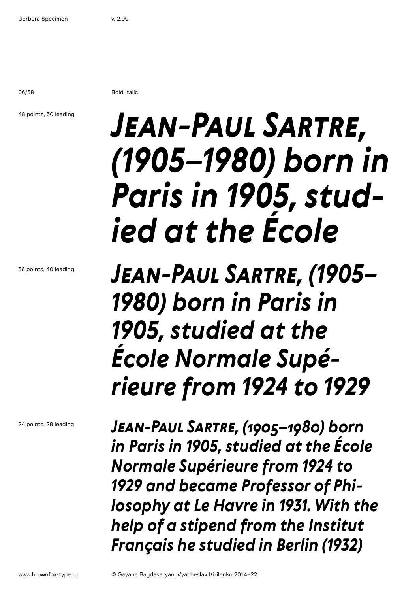06/38 Bold Italic

### 48 points, 50 leading

### *Jean-Paul Sartre, (1905–1980) born in Paris in 1905, studied at the École*

*Jean-Paul Sartre, (1905– 1980) born in Paris in 1905, studied at the École Normale Supérieure from 1924 to 1929* 

*Jean-Paul Sartre, (1905–1980) born in Paris in 1905, studied at the École Normale Supérieure from 1924 to 1929 and became Professor of Philosophy at Le Havre in 1931. With the help of a stipend from the Institut Français he studied in Berlin (1932)* 

24 points, 28 leading

36 points, 40 leading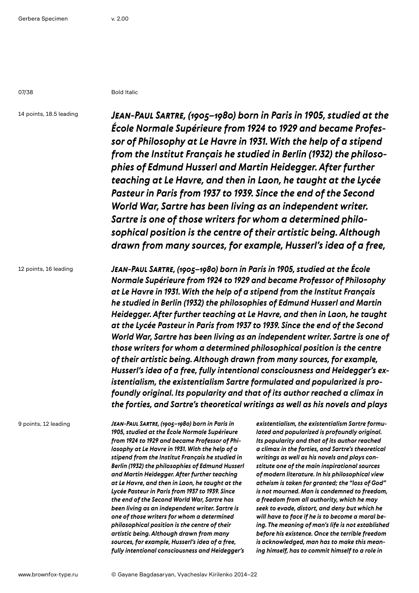07/38 Bold Italic

14 points, 18.5 leading

*Jean-Paul Sartre, (1905–1980) born in Paris in 1905, studied at the École Normale Supérieure from 1924 to 1929 and became Professor of Philosophy at Le Havre in 1931. With the help of a stipend from the Institut Français he studied in Berlin (1932) the philosophies of Edmund Husserl and Martin Heidegger. After further teaching at Le Havre, and then in Laon, he taught at the Lycée Pasteur in Paris from 1937 to 1939. Since the end of the Second World War, Sartre has been living as an independent writer. Sartre is one of those writers for whom a determined philosophical position is the centre of their artistic being. Although drawn from many sources, for example, Husserl's idea of a free,* 

12 points, 16 leading

*Jean-Paul Sartre, (1905–1980) born in Paris in 1905, studied at the École Normale Supérieure from 1924 to 1929 and became Professor of Philosophy at Le Havre in 1931. With the help of a stipend from the Institut Français he studied in Berlin (1932) the philosophies of Edmund Husserl and Martin Heidegger. After further teaching at Le Havre, and then in Laon, he taught at the Lycée Pasteur in Paris from 1937 to 1939. Since the end of the Second World War, Sartre has been living as an independent writer. Sartre is one of those writers for whom a determined philosophical position is the centre of their artistic being. Although drawn from many sources, for example, Husserl's idea of a free, fully intentional consciousness and Heidegger's existentialism, the existentialism Sartre formulated and popularized is profoundly original. Its popularity and that of its author reached a climax in the forties, and Sartre's theoretical writings as well as his novels and plays* 

9 points, 12 leading

*Jean-Paul Sartre, (1905–1980) born in Paris in 1905, studied at the École Normale Supérieure from 1924 to 1929 and became Professor of Philosophy at Le Havre in 1931. With the help of a stipend from the Institut Français he studied in Berlin (1932) the philosophies of Edmund Husserl and Martin Heidegger. After further teaching at Le Havre, and then in Laon, he taught at the Lycée Pasteur in Paris from 1937 to 1939. Since the end of the Second World War, Sartre has been living as an independent writer. Sartre is one of those writers for whom a determined philosophical position is the centre of their artistic being. Although drawn from many sources, for example, Husserl's idea of a free, fully intentional consciousness and Heidegger's* 

*existentialism, the existentialism Sartre formulated and popularized is profoundly original. Its popularity and that of its author reached a climax in the forties, and Sartre's theoretical writings as well as his novels and plays constitute one of the main inspirational sources of modern literature. In his philosophical view atheism is taken for granted; the "loss of God" is not mourned. Man is condemned to freedom, a freedom from all authority, which he may seek to evade, distort, and deny but which he will have to face if he is to become a moral being. The meaning of man's life is not established before his existence. Once the terrible freedom is acknowledged, man has to make this meaning himself, has to commit himself to a role in*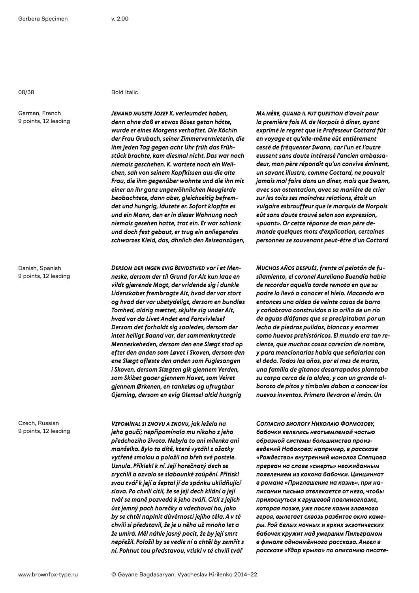German, French 9 points, 12 leading

Danish, Spanish 9 points, 12 leading

Czech, Russian 9 points, 12 leading

08/38 Bold Italic

*Jemand musste Josef K. verleumdet haben, denn ohne daß er etwas Böses getan hätte, wurde er eines Morgens verhaftet. Die Köchin der Frau Grubach, seiner Zimmervermieterin, die ihm jeden Tag gegen acht Uhr früh das Frühstück brachte, kam diesmal nicht. Das war noch niemals geschehen. K. wartete noch ein Weilchen, sah von seinem Kopfkissen aus die alte Frau, die ihm gegenüber wohnte und die ihn mit einer an ihr ganz ungewöhnlichen Neugierde beobachtete, dann aber, gleichzeitig befremdet und hungrig, läutete er. Sofort klopfte es und ein Mann, den er in dieser Wohnung noch niemals gesehen hatte, trat ein. Er war schlank und doch fest gebaut, er trug ein anliegendes schwarzes Kleid, das, ähnlich den Reiseanzügen,* 

*Dersom der ingen evig Bevidsthed var i et Menneske, dersom der til Grund for Alt kun laae en vildt gjærende Magt, der vridende sig i dunkle Lidenskaber frembragte Alt, hvad der var stort og hvad der var ubetydeligt, dersom en bundløs Tomhed, aldrig mættet, skjulte sig under Alt, hvad var da Livet Andet end Fortvivlelse? Dersom det forholdt sig saaledes, dersom der intet helligt Baand var, der sammenknyttede Menneskeheden, dersom den ene Slægt stod op efter den anden som Løvet i Skoven, dersom den ene Slægt afløste den anden som Fuglesangen i Skoven, dersom Slægten gik gjennem Verden, som Skibet gaaer gjennem Havet, som Veiret gjennem Ørkenen, en tankeløs og ufrugtbar Gjerning, dersom en evig Glemsel altid hungrig* 

*Ma mère, quand il fut question d'avoir pour la première fois M. de Norpois à dîner, ayant exprimé le regret que le Professeur Cottard fût en voyage et qu'elle-même eût entièrement cessé de fréquenter Swann, car l'un et l'autre eussent sans doute intéressé l'ancien ambassadeur, mon père répondit qu'un convive éminent, un savant illustre, comme Cottard, ne pouvait jamais mal faire dans un dîner, mais que Swann, avec son ostentation, avec sa manière de crier sur les toits ses moindres relations, était un vulgaire esbrouffeur que le marquis de Norpois eût sans doute trouvé selon son expression, «puant». Or cette réponse de mon père demande quelques mots d'explication, certaines personnes se souvenant peut-être d'un Cottard* 

*Muchos años después, frente al pelotón de fusilamiento, el coronel Aureliano Buendía había de recordar aquella tarde remota en que su padre lo llevó a conocer el hielo. Macondo era entonces una aldea de veinte casas de barro y cañabrava construidas a la orilla de un río de aguas diáfanas que se precipitaban por un lecho de piedras pulidas, blancas y enormes como huevos prehistóricos. El mundo era tan reciente, que muchas cosas carecían de nombre, y para mencionarlas había que señalarlas con el dedo. Todos los años, por el mes de marzo, una familia de gitanos desarrapados plantaba su carpa cerca de la aldea, y con un grande alboroto de pitos y timbales daban a conocer los nuevos inventos. Primero llevaron el imán. Un* 

*Vzpomínal si znovu a znovu, jak ležela na jeho gauči; nepřipomínala mu nikoho z jeho předchozího života. Nebyla to ani milenka ani manželka. Bylo to dítě, které vytáhl z ošatky vytřené smolou a položil na břeh své postele. Usnula. Přiklekl k ní. Její horečnatý dech se zrychlil a ozvalo se slabounké zaúpění. Přitiskl svou tvář k její a šeptal jí do spánku uklidňující slova. Po chvíli cítil, že se její dech klidní a její tvář se maně pozvedá k jeho tváři. Cítil z jejích úst jemný pach horečky a vdechoval ho, jako by se chtěl naplnit důvěrností jejího těla. A v té chvíli si představil, že je u něho už mnoho let a že umírá. Měl náhle jasný pocit, že by její smrt nepřežil. Položil by se vedle ní a chtěl by zemřít s ní. Pohnut tou představou, vtiskl v té chvíli tvář* 

*Согласно биологу Николаю Формозову, бабочки являлись неотъемлемой частью образной системы большинства произведений Набокова: например, в рассказе «Рождество» внутренний монолог Слепцова прерван на слове «смерть» неожиданным появлением из кокона бабочки. Цинциннат в романе «Приглашение на казнь», при написании письма отвлекается от него, чтобы прикоснуться к грушевой павлиноглазке, которая позже, уже после казни главного героя, вылетает сквозь разбитое окно камеры. Рой белых ночных и ярких экзотических бабочек кружит над умершим Пильграмом в финале одноимённого рассказа. Ангел в рассказе «Удар крыла» по описанию писате-*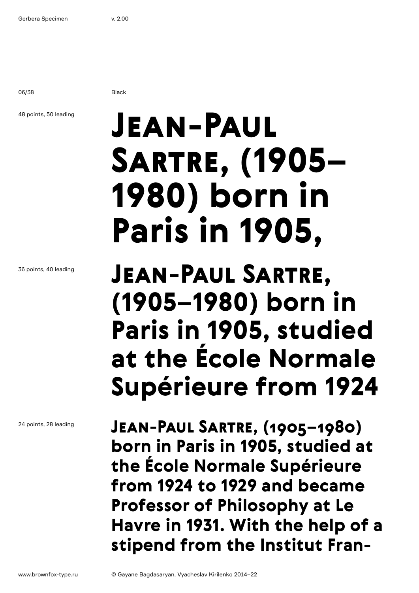06/38 Black

### 48 points, 50 leading

### Jean-Paul Sartre, (1905– 1980) born in Paris in 1905,

36 points, 40 leading

24 points, 28 leading

### Jean-Paul Sartre, (1905–1980) born in Paris in 1905, studied at the École Normale Supérieure from 1924

Jean-Paul Sartre, (1905–1980) born in Paris in 1905, studied at the École Normale Supérieure from 1924 to 1929 and became Professor of Philosophy at Le Havre in 1931. With the help of a stipend from the Institut Fran-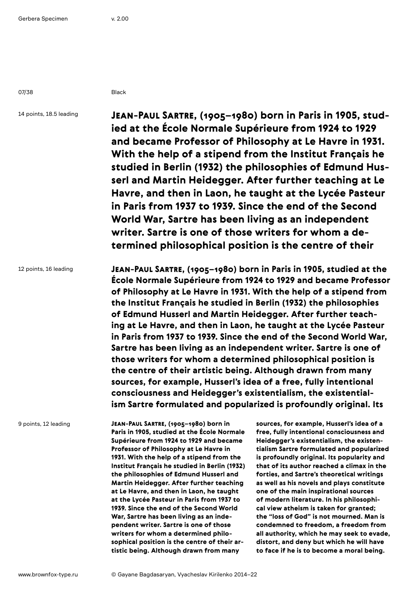07/38 Black

14 points, 18.5 leading

Jean-Paul Sartre, (1905–1980) born in Paris in 1905, studied at the École Normale Supérieure from 1924 to 1929 and became Professor of Philosophy at Le Havre in 1931. With the help of a stipend from the Institut Français he studied in Berlin (1932) the philosophies of Edmund Husserl and Martin Heidegger. After further teaching at Le Havre, and then in Laon, he taught at the Lycée Pasteur in Paris from 1937 to 1939. Since the end of the Second World War, Sartre has been living as an independent writer. Sartre is one of those writers for whom a determined philosophical position is the centre of their

12 points, 16 leading

Jean-Paul Sartre, (1905–1980) born in Paris in 1905, studied at the École Normale Supérieure from 1924 to 1929 and became Professor of Philosophy at Le Havre in 1931. With the help of a stipend from the Institut Français he studied in Berlin (1932) the philosophies of Edmund Husserl and Martin Heidegger. After further teaching at Le Havre, and then in Laon, he taught at the Lycée Pasteur in Paris from 1937 to 1939. Since the end of the Second World War, Sartre has been living as an independent writer. Sartre is one of those writers for whom a determined philosophical position is the centre of their artistic being. Although drawn from many sources, for example, Husserl's idea of a free, fully intentional consciousness and Heidegger's existentialism, the existentialism Sartre formulated and popularized is profoundly original. Its

9 points, 12 leading

Jean-Paul Sartre, (1905–1980) born in Paris in 1905, studied at the École Normale Supérieure from 1924 to 1929 and became Professor of Philosophy at Le Havre in 1931. With the help of a stipend from the Institut Français he studied in Berlin (1932) the philosophies of Edmund Husserl and Martin Heidegger. After further teaching at Le Havre, and then in Laon, he taught at the Lycée Pasteur in Paris from 1937 to 1939. Since the end of the Second World War, Sartre has been living as an independent writer. Sartre is one of those writers for whom a determined philosophical position is the centre of their artistic being. Although drawn from many

sources, for example, Husserl's idea of a free, fully intentional consciousness and Heidegger's existentialism, the existentialism Sartre formulated and popularized is profoundly original. Its popularity and that of its author reached a climax in the forties, and Sartre's theoretical writings as well as his novels and plays constitute one of the main inspirational sources of modern literature. In his philosophical view atheism is taken for granted; the "loss of God" is not mourned. Man is condemned to freedom, a freedom from all authority, which he may seek to evade, distort, and deny but which he will have to face if he is to become a moral being.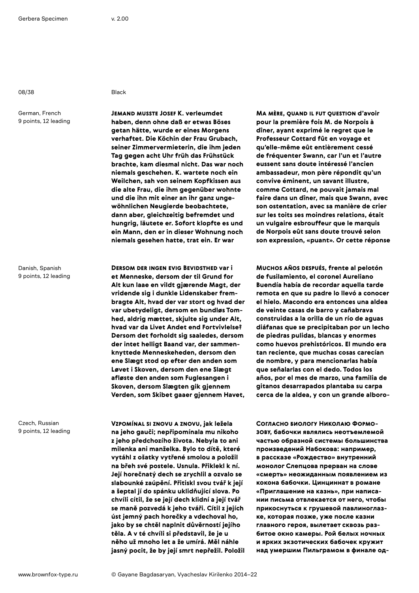08/38 Black

German, French 9 points, 12 leading

Danish, Spanish 9 points, 12 leading

Czech, Russian 9 points, 12 leading

Jemand musste Josef K. verleumdet haben, denn ohne daß er etwas Böses getan hätte, wurde er eines Morgens verhaftet. Die Köchin der Frau Grubach, seiner Zimmervermieterin, die ihm jeden Tag gegen acht Uhr früh das Frühstück brachte, kam diesmal nicht. Das war noch niemals geschehen. K. wartete noch ein Weilchen, sah von seinem Kopfkissen aus die alte Frau, die ihm gegenüber wohnte und die ihn mit einer an ihr ganz ungewöhnlichen Neugierde beobachtete, dann aber, gleichzeitig befremdet und hungrig, läutete er. Sofort klopfte es und ein Mann, den er in dieser Wohnung noch niemals gesehen hatte, trat ein. Er war

Dersom der ingen evig Bevidsthed var i et Menneske, dersom der til Grund for Alt kun laae en vildt gjærende Magt, der vridende sig i dunkle Lidenskaber frembragte Alt, hvad der var stort og hvad der var ubetydeligt, dersom en bundløs Tomhed, aldrig mættet, skjulte sig under Alt, hvad var da Livet Andet end Fortvivlelse? Dersom det forholdt sig saaledes, dersom der intet helligt Baand var, der sammenknyttede Menneskeheden, dersom den ene Slægt stod op efter den anden som Løvet i Skoven, dersom den ene Slægt afløste den anden som Fuglesangen i Skoven, dersom Slægten gik gjennem Verden, som Skibet gaaer gjennem Havet,

Ma mère, quand il fut question d'avoir pour la première fois M. de Norpois à dîner, ayant exprimé le regret que le Professeur Cottard fût en voyage et qu'elle-même eût entièrement cessé de fréquenter Swann, car l'un et l'autre eussent sans doute intéressé l'ancien ambassadeur, mon père répondit qu'un convive éminent, un savant illustre, comme Cottard, ne pouvait jamais mal faire dans un dîner, mais que Swann, avec son ostentation, avec sa manière de crier sur les toits ses moindres relations, était un vulgaire esbrouffeur que le marquis de Norpois eût sans doute trouvé selon son expression, «puant». Or cette réponse

Muchos años después, frente al pelotón de fusilamiento, el coronel Aureliano Buendía había de recordar aquella tarde remota en que su padre lo llevó a conocer el hielo. Macondo era entonces una aldea de veinte casas de barro y cañabrava construidas a la orilla de un río de aguas diáfanas que se precipitaban por un lecho de piedras pulidas, blancas y enormes como huevos prehistóricos. El mundo era tan reciente, que muchas cosas carecían de nombre, y para mencionarlas había que señalarlas con el dedo. Todos los años, por el mes de marzo, una familia de gitanos desarrapados plantaba su carpa cerca de la aldea, y con un grande alboro-

Vzpomínal si znovu a znovu, jak ležela na jeho gauči; nepřipomínala mu nikoho z jeho předchozího života. Nebyla to ani milenka ani manželka. Bylo to dítě, které vytáhl z ošatky vytřené smolou a položil na břeh své postele. Usnula. Přiklekl k ní. Její horečnatý dech se zrychlil a ozvalo se slabounké zaúpění. Přitiskl svou tvář k její a šeptal jí do spánku uklidňující slova. Po chvíli cítil, že se její dech klidní a její tvář se maně pozvedá k jeho tváři. Cítil z jejích úst jemný pach horečky a vdechoval ho, jako by se chtěl naplnit důvěrností jejího těla. A v té chvíli si představil, že je u něho už mnoho let a že umírá. Měl náhle jasný pocit, že by její smrt nepřežil. Položil Согласно биологу Николаю Формозову, бабочки являлись неотъемлемой частью образной системы большинства произведений Набокова: например, в рассказе «Рождество» внутренний монолог Слепцова прерван на слове «смерть» неожиданным появлением из кокона бабочки. Цинциннат в романе «Приглашение на казнь», при написании письма отвлекается от него, чтобы прикоснуться к грушевой павлиноглазке, которая позже, уже после казни главного героя, вылетает сквозь разбитое окно камеры. Рой белых ночных и ярких экзотических бабочек кружит над умершим Пильграмом в финале од-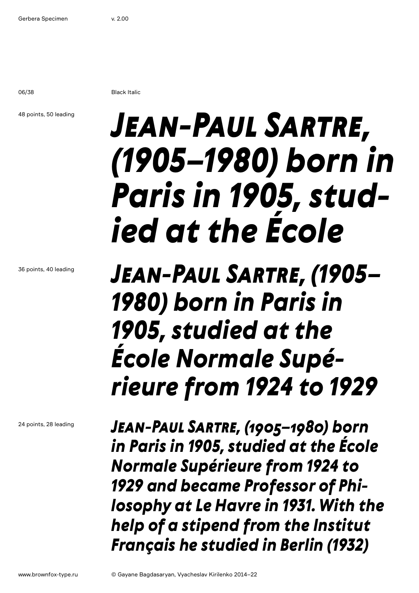06/38 Black Italic

### 48 points, 50 leading

### *Jean-Paul Sartre, (1905–1980) born in Paris in 1905, studied at the École*

*Jean-Paul Sartre, (1905– 1980) born in Paris in 1905, studied at the École Normale Supérieure from 1924 to 1929* 

24 points, 28 leading

36 points, 40 leading

*Jean-Paul Sartre, (1905–1980) born in Paris in 1905, studied at the École Normale Supérieure from 1924 to 1929 and became Professor of Philosophy at Le Havre in 1931. With the help of a stipend from the Institut Français he studied in Berlin (1932)*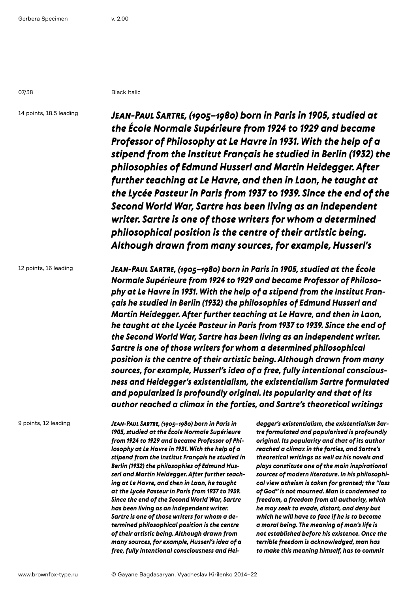07/38 Black Italic

14 points, 18.5 leading

*Jean-Paul Sartre, (1905–1980) born in Paris in 1905, studied at the École Normale Supérieure from 1924 to 1929 and became Professor of Philosophy at Le Havre in 1931. With the help of a stipend from the Institut Français he studied in Berlin (1932) the philosophies of Edmund Husserl and Martin Heidegger. After further teaching at Le Havre, and then in Laon, he taught at the Lycée Pasteur in Paris from 1937 to 1939. Since the end of the Second World War, Sartre has been living as an independent writer. Sartre is one of those writers for whom a determined philosophical position is the centre of their artistic being. Although drawn from many sources, for example, Husserl's* 

12 points, 16 leading

*Jean-Paul Sartre, (1905–1980) born in Paris in 1905, studied at the École Normale Supérieure from 1924 to 1929 and became Professor of Philosophy at Le Havre in 1931. With the help of a stipend from the Institut Français he studied in Berlin (1932) the philosophies of Edmund Husserl and Martin Heidegger. After further teaching at Le Havre, and then in Laon, he taught at the Lycée Pasteur in Paris from 1937 to 1939. Since the end of the Second World War, Sartre has been living as an independent writer. Sartre is one of those writers for whom a determined philosophical position is the centre of their artistic being. Although drawn from many sources, for example, Husserl's idea of a free, fully intentional consciousness and Heidegger's existentialism, the existentialism Sartre formulated and popularized is profoundly original. Its popularity and that of its author reached a climax in the forties, and Sartre's theoretical writings* 

9 points, 12 leading

*Jean-Paul Sartre, (1905–1980) born in Paris in 1905, studied at the École Normale Supérieure from 1924 to 1929 and became Professor of Philosophy at Le Havre in 1931. With the help of a stipend from the Institut Français he studied in Berlin (1932) the philosophies of Edmund Husserl and Martin Heidegger. After further teaching at Le Havre, and then in Laon, he taught at the Lycée Pasteur in Paris from 1937 to 1939. Since the end of the Second World War, Sartre has been living as an independent writer. Sartre is one of those writers for whom a determined philosophical position is the centre of their artistic being. Although drawn from many sources, for example, Husserl's idea of a free, fully intentional consciousness and Hei-* *degger's existentialism, the existentialism Sartre formulated and popularized is profoundly original. Its popularity and that of its author reached a climax in the forties, and Sartre's theoretical writings as well as his novels and plays constitute one of the main inspirational sources of modern literature. In his philosophical view atheism is taken for granted; the "loss of God" is not mourned. Man is condemned to freedom, a freedom from all authority, which he may seek to evade, distort, and deny but which he will have to face if he is to become a moral being. The meaning of man's life is not established before his existence. Once the terrible freedom is acknowledged, man has to make this meaning himself, has to commit*